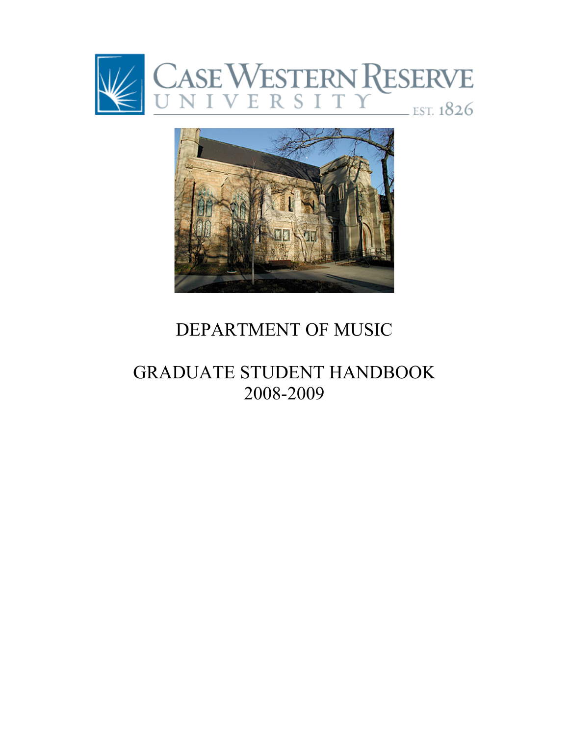



# DEPARTMENT OF MUSIC

# GRADUATE STUDENT HANDBOOK 2008-2009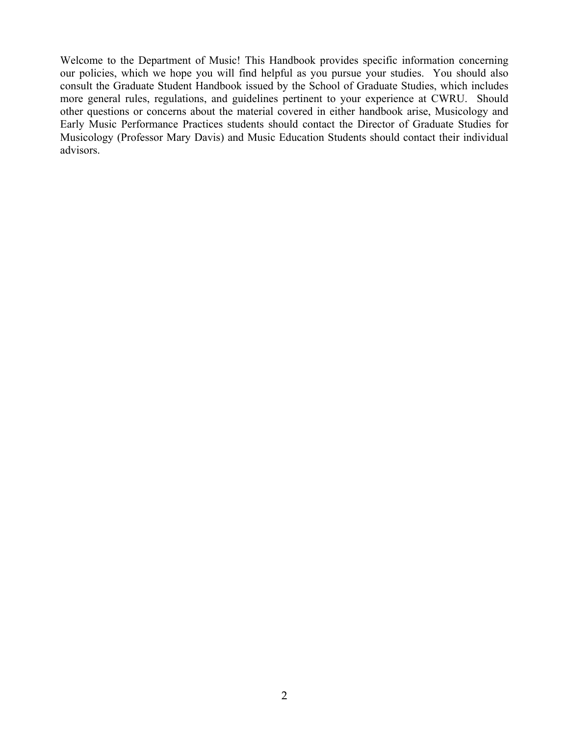Welcome to the Department of Music! This Handbook provides specific information concerning our policies, which we hope you will find helpful as you pursue your studies. You should also consult the Graduate Student Handbook issued by the School of Graduate Studies, which includes more general rules, regulations, and guidelines pertinent to your experience at CWRU. Should other questions or concerns about the material covered in either handbook arise, Musicology and Early Music Performance Practices students should contact the Director of Graduate Studies for Musicology (Professor Mary Davis) and Music Education Students should contact their individual advisors.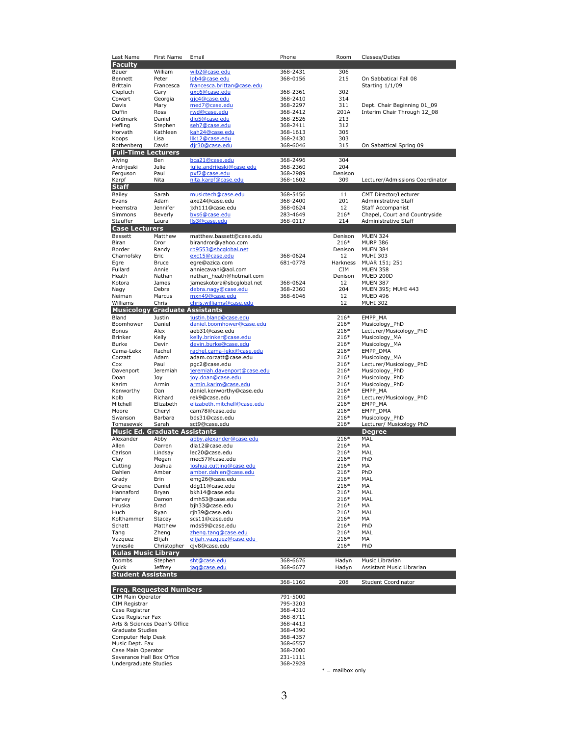| Last Name                             | First Name       | Email                                                 | Phone                | Room               | Classes/Duties                                        |
|---------------------------------------|------------------|-------------------------------------------------------|----------------------|--------------------|-------------------------------------------------------|
| <b>Faculty</b>                        |                  |                                                       |                      |                    |                                                       |
| Bauer                                 | William          | wib2@case.edu                                         | 368-2431             | 306                |                                                       |
| Bennett                               | Peter            | lpb4@case.edu                                         | 368-0156             | 215                | On Sabbatical Fall 08                                 |
| Brittain                              | Francesca        | francesca.brittan@case.edu                            |                      |                    | Starting 1/1/09                                       |
| Ciepluch                              | Gary             | gxc6@case.edu                                         | 368-2361             | 302                |                                                       |
| Cowart                                | Georgia          | gic4@case.edu                                         | 368-2410             | 314                |                                                       |
| Davis                                 | Mary             | med7@case.edu                                         | 368-2297             | 311                | Dept. Chair Beginning 01_09                           |
| Duffin                                | Ross             | rwd@case.edu                                          | 368-2412             | 201A               | Interim Chair Through 12 08                           |
| Goldmark                              | Daniel           | dig5@case.edu                                         | 368-2526             | 213                |                                                       |
| Hefling                               | Stephen          | seh7@case.edu                                         | 368-2411             | 312                |                                                       |
| Horvath                               | Kathleen         | kah24@case.edu                                        | 368-1613             | 305                |                                                       |
| Koops                                 | Lisa             | llk12@case.edu<br>dir30@case.edu                      | 368-2430             | 303<br>315         |                                                       |
| Rothenberg                            | David            |                                                       | 368-6046             |                    | On Sabattical Spring 09                               |
| <b>Full-Time Lecturers</b>            |                  |                                                       |                      |                    |                                                       |
| Alying                                | Ben              | bca21@case.edu                                        | 368-2496             | 304                |                                                       |
| Andrijeski                            | Julie            | julie.andrijeski@case.edu                             | 368-2360             | 204                |                                                       |
| Ferguson<br>Karpf                     | Paul<br>Nita     | pxf2@case.edu<br>nita.karpf@case.edu                  | 368-2989<br>368-1602 | Denison<br>309     | Lecturer/Admissions Coordinator                       |
|                                       |                  |                                                       |                      |                    |                                                       |
| Staff                                 |                  |                                                       |                      |                    |                                                       |
| Bailey                                | Sarah            | musictech@case.edu                                    | 368-5456             | 11                 | CMT Director/Lecturer                                 |
| Evans                                 | Adam             | axe24@case.edu                                        | 368-2400             | 201<br>12          | Administrative Staff                                  |
| Heemstra<br>Simmons                   | Jennifer         | jxh111@case.edu<br>bxs6@case.edu                      | 368-0624             | $216*$             | <b>Staff Accompanist</b>                              |
| Stauffer                              | Beverly<br>Laura | lls3@case.edu                                         | 283-4649<br>368-0117 | 214                | Chapel, Court and Countryside<br>Administrative Staff |
|                                       |                  |                                                       |                      |                    |                                                       |
| <b>Case Lecturers</b>                 |                  |                                                       |                      |                    |                                                       |
| <b>Bassett</b>                        | Matthew          | matthew.bassett@case.edu                              |                      | Denison            | <b>MUEN 324</b>                                       |
| Biran<br>Border                       | Dror             | birandror@yahoo.com                                   |                      | $216*$             | <b>MURP 386</b>                                       |
|                                       | Randy            | rb9553@sbcglobal.net                                  |                      | Denison            | <b>MUEN 384</b>                                       |
| Charnofsky                            | Eric             | exc15@case.edu                                        | 368-0624             | 12                 | <b>MUHI 303</b>                                       |
| Egre<br>Fullard                       | Bruce<br>Annie   | egre@azica.com<br>anniecavani@aol.com                 | 681-0778             | Harkness<br>CIM    | MUAR 151; 251<br><b>MUEN 358</b>                      |
|                                       | Nathan           |                                                       |                      | Denison            | MUED 200D                                             |
| Heath<br>Kotora                       | James            | nathan_heath@hotmail.com<br>jameskotora@sbcglobal.net | 368-0624             | 12                 | <b>MUEN 387</b>                                       |
| Nagy                                  | Debra            | debra.nagy@case.edu                                   | 368-2360             | 204                | MUEN 395; MUHI 443                                    |
| Neiman                                | Marcus           | mxn49@case.edu                                        | 368-6046             | 12                 | <b>MUED 496</b>                                       |
| Williams                              | Chris            | chris.williams@case.edu                               |                      | 12                 | <b>MUHI 302</b>                                       |
| <b>Musicology Graduate Assistants</b> |                  |                                                       |                      |                    |                                                       |
| Bland                                 | Justin           | justin.bland@case.edu                                 |                      | $216*$             | EMPP MA                                               |
| Boomhower                             | Daniel           | daniel.boomhower@case.edu                             |                      | $216*$             | Musicology_PhD                                        |
| Bonus                                 | Alex             | aeb31@case.edu                                        |                      | 216*               | Lecturer/Musicology_PhD                               |
| Brinker                               | Kelly            | kelly.brinker@case.edu                                |                      | $216*$             | Musicology_MA                                         |
| Burke                                 | Devin            | devin.burke@case.edu                                  |                      | $216*$             | Musicology_MA                                         |
| Cama-Lekx                             | Rachel           | rachel.cama-lekx@case.edu                             |                      | $216*$             | EMPP_DMA                                              |
| Corzatt                               | Adam             | adam.corzatt@case.edu                                 |                      | 216*               | Musicology_MA                                         |
| Cox                                   | Paul             | pgc2@case.edu                                         |                      | 216*               | Lecturer/Musicology_PhD                               |
| Davenport                             | Jeremiah         | jeremiah.davenport@case.edu                           |                      | $216*$             | Musicology_PhD                                        |
| Doan                                  | Joy              | joy.doan@case.edu                                     |                      | $216*$             | Musicology_PhD                                        |
| Karim                                 | Armin            | armin.karim@case.edu                                  |                      | 216*               | Musicology_PhD                                        |
| Kenworthy                             | Dan              | daniel.kenworthy@case.edu                             |                      | 216*               | EMPP_MA                                               |
| Kolb                                  | Richard          | rek9@case.edu                                         |                      | 216*               | Lecturer/Musicology_PhD                               |
|                                       | Elizabeth        | elizabeth.mitchell@case.edu                           |                      | $216*$             | EMPP_MA                                               |
| Mitchell                              |                  |                                                       |                      | $216*$             | EMPP_DMA                                              |
| Moore                                 | Cheryl           | cam78@case.edu                                        |                      |                    |                                                       |
| Swanson                               | Barbara          | bds31@case.edu                                        |                      | 216*               | Musicology PhD                                        |
| Tomasewski                            | Sarah            | sct9@case.edu                                         |                      | $216*$             | Lecturer/ Musicology PhD                              |
| <b>Music Ed. Graduate Assistants</b>  |                  |                                                       |                      |                    | <b>Degree</b>                                         |
| Alexander                             |                  | abby.alexander@case.edu                               |                      | $216*$             | MAL                                                   |
| Allen                                 | Abby<br>Darren   | dla12@case.edu                                        |                      | 216*               | MA                                                    |
| Carlson                               | Lindsay          | lec20@case.edu                                        |                      | 216*               | MAL                                                   |
| Clay                                  | Megan            | mec57@case.edu                                        |                      | 216*               | PhD                                                   |
| Cutting                               | Joshua           | joshua.cutting@case.edu                               |                      | 216*               | MA                                                    |
| Danien                                | Amber            | <u>amber.dahlen@case.edu</u>                          |                      | 216*               | PhD                                                   |
| Grady                                 | Erin             | emg26@case.edu                                        |                      | 216*               | MAL                                                   |
| Greene                                | Daniel           | ddg11@case.edu                                        |                      | 216*               | МA                                                    |
| Hannaford                             | Bryan            | bkh14@case.edu                                        |                      | 216*               | MAL                                                   |
| Harvey                                | Damon            | dmh53@case.edu                                        |                      | $216*$             | MAL                                                   |
| Hruska                                | Brad             | bjh33@case.edu                                        |                      | $216*$             | МA                                                    |
| Huch                                  | Ryan             | rih39@case.edu                                        |                      | 216*               | MAL                                                   |
| Kolthammer                            | Stacey           | scs11@case.edu                                        |                      | 216*               | МA                                                    |
| Schatt                                | Matthew          | mds59@case.edu                                        |                      | 216*               | PhD                                                   |
| Tang                                  | Zheng            | zheng.tang@case.edu                                   |                      | 216*               | MAL                                                   |
| Vazquez                               | Elijah           | elijah.vazquez@case.edu                               |                      | 216*               | МA                                                    |
| Venesile                              | Christopher      | cjv8@case.edu                                         |                      | $216*$             | PhD                                                   |
| <b>Kulas Music Library</b>            |                  |                                                       |                      |                    |                                                       |
| Toombs                                | Stephen          | sht@case.edu                                          | 368-6676             | Hadyn              | Music Librarian                                       |
| Quick                                 | <b>Jeffrey</b>   | jaq@case.edu                                          | 368-6677             | Hadyn              | Assistant Music Librarian                             |
| <b>Student Assistants</b>             |                  |                                                       |                      |                    |                                                       |
|                                       |                  |                                                       | 368-1160             | 208                | Student Coordinator                                   |
| <b>Freq. Requested Numbers</b>        |                  |                                                       |                      |                    |                                                       |
| CIM Main Operator                     |                  |                                                       | 791-5000             |                    |                                                       |
| CIM Registrar                         |                  |                                                       | 795-3203             |                    |                                                       |
| Case Registrar                        |                  |                                                       | 368-4310             |                    |                                                       |
| Case Registrar Fax                    |                  |                                                       | 368-8711             |                    |                                                       |
| Arts & Sciences Dean's Office         |                  |                                                       | 368-4413             |                    |                                                       |
| <b>Graduate Studies</b>               |                  |                                                       | 368-4390             |                    |                                                       |
| Computer Help Desk                    |                  |                                                       | 368-4357             |                    |                                                       |
| Music Dept. Fax                       |                  |                                                       | 368-6557             |                    |                                                       |
| Case Main Operator                    |                  |                                                       | 368-2000             |                    |                                                       |
| Severance Hall Box Office             |                  |                                                       | 231-1111             |                    |                                                       |
| Undergraduate Studies                 |                  |                                                       | 368-2928             | $* =$ mailbox only |                                                       |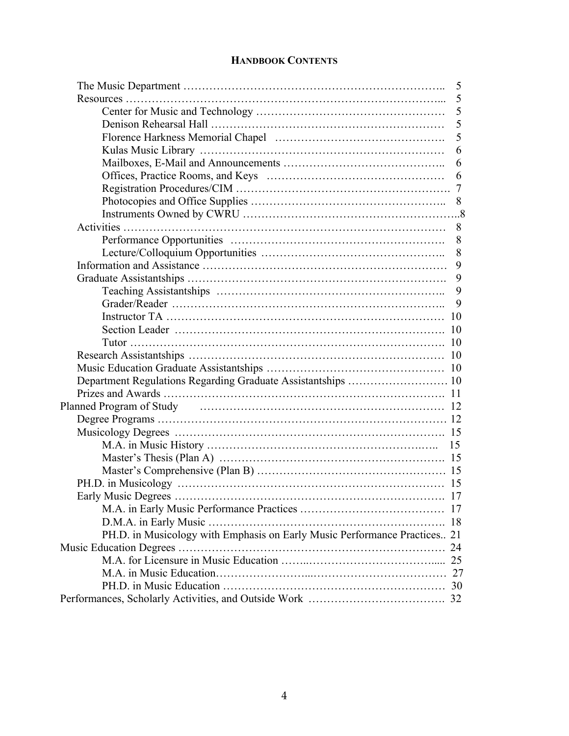# **HANDBOOK CONTENTS**

|                                                                                                         | 5  |
|---------------------------------------------------------------------------------------------------------|----|
|                                                                                                         | 5  |
|                                                                                                         | 5  |
|                                                                                                         | 5  |
|                                                                                                         | 5  |
|                                                                                                         | 6  |
|                                                                                                         | 6  |
|                                                                                                         | 6  |
|                                                                                                         |    |
|                                                                                                         |    |
|                                                                                                         |    |
|                                                                                                         | 8  |
|                                                                                                         | 8  |
|                                                                                                         | 8  |
|                                                                                                         | 9  |
|                                                                                                         | 9  |
|                                                                                                         | 9  |
|                                                                                                         | 9  |
|                                                                                                         |    |
|                                                                                                         |    |
|                                                                                                         |    |
|                                                                                                         |    |
|                                                                                                         |    |
|                                                                                                         |    |
|                                                                                                         |    |
| Planned Program of Study material contains the contract of the property of the planned Program of Study |    |
|                                                                                                         |    |
|                                                                                                         |    |
|                                                                                                         | 15 |
|                                                                                                         |    |
|                                                                                                         |    |
|                                                                                                         |    |
|                                                                                                         |    |
|                                                                                                         |    |
|                                                                                                         |    |
| PH.D. in Musicology with Emphasis on Early Music Performance Practices 21                               |    |
|                                                                                                         |    |
|                                                                                                         |    |
|                                                                                                         |    |
|                                                                                                         |    |
|                                                                                                         |    |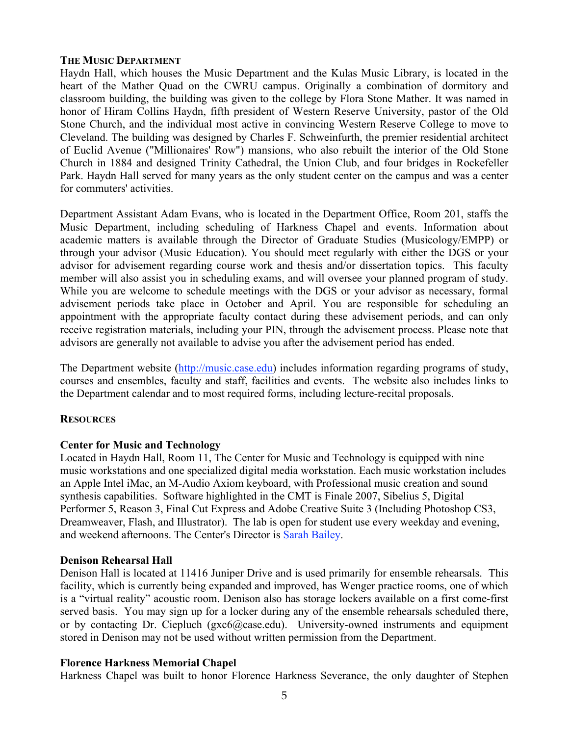# **THE MUSIC DEPARTMENT**

Haydn Hall, which houses the Music Department and the Kulas Music Library, is located in the heart of the Mather Quad on the CWRU campus. Originally a combination of dormitory and classroom building, the building was given to the college by Flora Stone Mather. It was named in honor of Hiram Collins Haydn, fifth president of Western Reserve University, pastor of the Old Stone Church, and the individual most active in convincing Western Reserve College to move to Cleveland. The building was designed by Charles F. Schweinfurth, the premier residential architect of Euclid Avenue ("Millionaires' Row") mansions, who also rebuilt the interior of the Old Stone Church in 1884 and designed Trinity Cathedral, the Union Club, and four bridges in Rockefeller Park. Haydn Hall served for many years as the only student center on the campus and was a center for commuters' activities.

Department Assistant Adam Evans, who is located in the Department Office, Room 201, staffs the Music Department, including scheduling of Harkness Chapel and events. Information about academic matters is available through the Director of Graduate Studies (Musicology/EMPP) or through your advisor (Music Education). You should meet regularly with either the DGS or your advisor for advisement regarding course work and thesis and/or dissertation topics. This faculty member will also assist you in scheduling exams, and will oversee your planned program of study. While you are welcome to schedule meetings with the DGS or your advisor as necessary, formal advisement periods take place in October and April. You are responsible for scheduling an appointment with the appropriate faculty contact during these advisement periods, and can only receive registration materials, including your PIN, through the advisement process. Please note that advisors are generally not available to advise you after the advisement period has ended.

The Department website (http://music.case.edu) includes information regarding programs of study, courses and ensembles, faculty and staff, facilities and events. The website also includes links to the Department calendar and to most required forms, including lecture-recital proposals.

# **RESOURCES**

# **Center for Music and Technology**

Located in Haydn Hall, Room 11, The Center for Music and Technology is equipped with nine music workstations and one specialized digital media workstation. Each music workstation includes an Apple Intel iMac, an M-Audio Axiom keyboard, with Professional music creation and sound synthesis capabilities. Software highlighted in the CMT is Finale 2007, Sibelius 5, Digital Performer 5, Reason 3, Final Cut Express and Adobe Creative Suite 3 (Including Photoshop CS3, Dreamweaver, Flash, and Illustrator). The lab is open for student use every weekday and evening, and weekend afternoons. The Center's Director is Sarah Bailey.

#### **Denison Rehearsal Hall**

Denison Hall is located at 11416 Juniper Drive and is used primarily for ensemble rehearsals. This facility, which is currently being expanded and improved, has Wenger practice rooms, one of which is a "virtual reality" acoustic room. Denison also has storage lockers available on a first come-first served basis. You may sign up for a locker during any of the ensemble rehearsals scheduled there, or by contacting Dr. Ciepluch (gxc6@case.edu). University-owned instruments and equipment stored in Denison may not be used without written permission from the Department.

# **Florence Harkness Memorial Chapel**

Harkness Chapel was built to honor Florence Harkness Severance, the only daughter of Stephen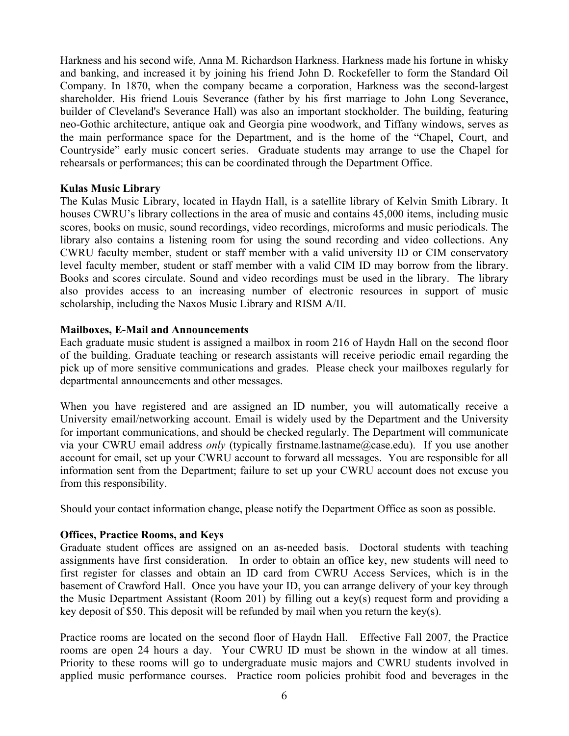Harkness and his second wife, Anna M. Richardson Harkness. Harkness made his fortune in whisky and banking, and increased it by joining his friend John D. Rockefeller to form the Standard Oil Company. In 1870, when the company became a corporation, Harkness was the second-largest shareholder. His friend Louis Severance (father by his first marriage to John Long Severance, builder of Cleveland's Severance Hall) was also an important stockholder. The building, featuring neo-Gothic architecture, antique oak and Georgia pine woodwork, and Tiffany windows, serves as the main performance space for the Department, and is the home of the "Chapel, Court, and Countryside" early music concert series. Graduate students may arrange to use the Chapel for rehearsals or performances; this can be coordinated through the Department Office.

#### **Kulas Music Library**

The Kulas Music Library, located in Haydn Hall, is a satellite library of Kelvin Smith Library. It houses CWRU's library collections in the area of music and contains 45,000 items, including music scores, books on music, sound recordings, video recordings, microforms and music periodicals. The library also contains a listening room for using the sound recording and video collections. Any CWRU faculty member, student or staff member with a valid university ID or CIM conservatory level faculty member, student or staff member with a valid CIM ID may borrow from the library. Books and scores circulate. Sound and video recordings must be used in the library. The library also provides access to an increasing number of electronic resources in support of music scholarship, including the Naxos Music Library and RISM A/II.

#### **Mailboxes, E-Mail and Announcements**

Each graduate music student is assigned a mailbox in room 216 of Haydn Hall on the second floor of the building. Graduate teaching or research assistants will receive periodic email regarding the pick up of more sensitive communications and grades. Please check your mailboxes regularly for departmental announcements and other messages.

When you have registered and are assigned an ID number, you will automatically receive a University email/networking account. Email is widely used by the Department and the University for important communications, and should be checked regularly. The Department will communicate via your CWRU email address *only* (typically firstname.lastname@case.edu). If you use another account for email, set up your CWRU account to forward all messages. You are responsible for all information sent from the Department; failure to set up your CWRU account does not excuse you from this responsibility.

Should your contact information change, please notify the Department Office as soon as possible.

# **Offices, Practice Rooms, and Keys**

Graduate student offices are assigned on an as-needed basis. Doctoral students with teaching assignments have first consideration. In order to obtain an office key, new students will need to first register for classes and obtain an ID card from CWRU Access Services, which is in the basement of Crawford Hall. Once you have your ID, you can arrange delivery of your key through the Music Department Assistant (Room 201) by filling out a key(s) request form and providing a key deposit of \$50. This deposit will be refunded by mail when you return the key(s).

Practice rooms are located on the second floor of Haydn Hall. Effective Fall 2007, the Practice rooms are open 24 hours a day. Your CWRU ID must be shown in the window at all times. Priority to these rooms will go to undergraduate music majors and CWRU students involved in applied music performance courses. Practice room policies prohibit food and beverages in the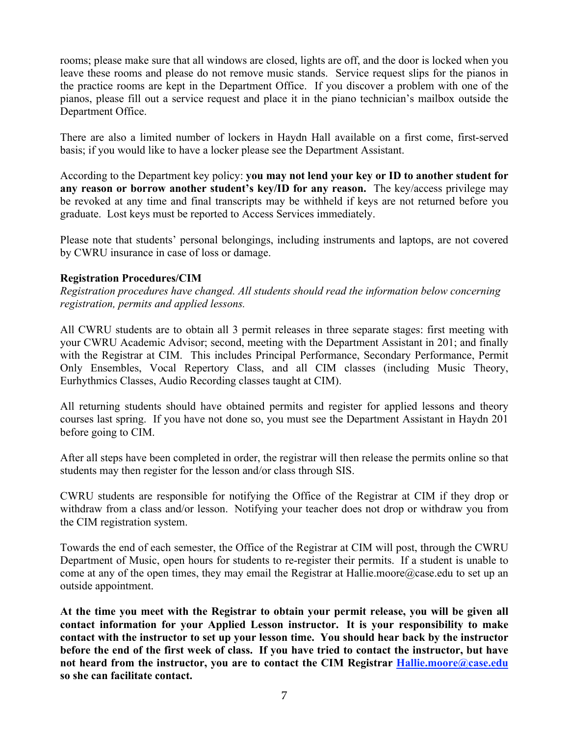rooms; please make sure that all windows are closed, lights are off, and the door is locked when you leave these rooms and please do not remove music stands. Service request slips for the pianos in the practice rooms are kept in the Department Office. If you discover a problem with one of the pianos, please fill out a service request and place it in the piano technician's mailbox outside the Department Office.

There are also a limited number of lockers in Haydn Hall available on a first come, first-served basis; if you would like to have a locker please see the Department Assistant.

According to the Department key policy: **you may not lend your key or ID to another student for any reason or borrow another student's key/ID for any reason.** The key/access privilege may be revoked at any time and final transcripts may be withheld if keys are not returned before you graduate. Lost keys must be reported to Access Services immediately.

Please note that students' personal belongings, including instruments and laptops, are not covered by CWRU insurance in case of loss or damage.

# **Registration Procedures/CIM**

*Registration procedures have changed. All students should read the information below concerning registration, permits and applied lessons.* 

All CWRU students are to obtain all 3 permit releases in three separate stages: first meeting with your CWRU Academic Advisor; second, meeting with the Department Assistant in 201; and finally with the Registrar at CIM. This includes Principal Performance, Secondary Performance, Permit Only Ensembles, Vocal Repertory Class, and all CIM classes (including Music Theory, Eurhythmics Classes, Audio Recording classes taught at CIM).

All returning students should have obtained permits and register for applied lessons and theory courses last spring. If you have not done so, you must see the Department Assistant in Haydn 201 before going to CIM.

After all steps have been completed in order, the registrar will then release the permits online so that students may then register for the lesson and/or class through SIS.

CWRU students are responsible for notifying the Office of the Registrar at CIM if they drop or withdraw from a class and/or lesson. Notifying your teacher does not drop or withdraw you from the CIM registration system.

Towards the end of each semester, the Office of the Registrar at CIM will post, through the CWRU Department of Music, open hours for students to re-register their permits. If a student is unable to come at any of the open times, they may email the Registrar at Hallie.moore@case.edu to set up an outside appointment.

**At the time you meet with the Registrar to obtain your permit release, you will be given all contact information for your Applied Lesson instructor. It is your responsibility to make contact with the instructor to set up your lesson time. You should hear back by the instructor before the end of the first week of class. If you have tried to contact the instructor, but have not heard from the instructor, you are to contact the CIM Registrar Hallie.moore@case.edu so she can facilitate contact.**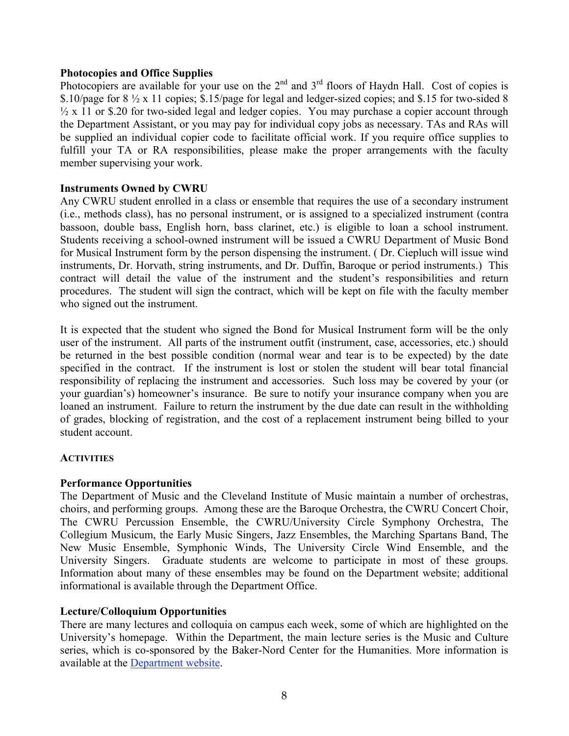# **Photocopies and Office Supplies**

Photocopiers are available for your use on the  $2^{nd}$  and  $3^{rd}$  floors of Haydn Hall. Cost of copies is \$.10/page for 8 ½ x 11 copies; \$.15/page for legal and ledger-sized copies; and \$.15 for two-sided 8  $\frac{1}{2}$  x 11 or \$.20 for two-sided legal and ledger copies. You may purchase a copier account through the Department Assistant, or you may pay for individual copy jobs as necessary. TAs and RAs will be supplied an individual copier code to facilitate official work. If you require office supplies to fulfill your TA or RA responsibilities, please make the proper arrangements with the faculty member supervising your work.

# **Instruments Owned by CWRU**

Any CWRU student enrolled in a class or ensemble that requires the use of a secondary instrument (i.e., methods class), has no personal instrument, or is assigned to a specialized instrument (contra bassoon, double bass, English horn, bass clarinet, etc.) is eligible to loan a school instrument. Students receiving a school-owned instrument will be issued a CWRU Department of Music Bond for Musical Instrument form by the person dispensing the instrument. ( Dr. Ciepluch will issue wind instruments, Dr. Horvath, string instruments, and Dr. Duffin, Baroque or period instruments.) This contract will detail the value of the instrument and the student's responsibilities and return procedures. The student will sign the contract, which will be kept on file with the faculty member who signed out the instrument.

It is expected that the student who signed the Bond for Musical Instrument form will be the only user of the instrument. All parts of the instrument outfit (instrument, case, accessories, etc.) should be returned in the best possible condition (normal wear and tear is to be expected) by the date specified in the contract. If the instrument is lost or stolen the student will bear total financial responsibility of replacing the instrument and accessories. Such loss may be covered by your (or your guardian's) homeowner's insurance. Be sure to notify your insurance company when you are loaned an instrument. Failure to return the instrument by the due date can result in the withholding of grades, blocking of registration, and the cost of a replacement instrument being billed to your student account.

# **ACTIVITIES**

# **Performance Opportunities**

The Department of Music and the Cleveland Institute of Music maintain a number of orchestras, choirs, and performing groups. Among these are the Baroque Orchestra, the CWRU Concert Choir, The CWRU Percussion Ensemble, the CWRU/University Circle Symphony Orchestra, The Collegium Musicum, the Early Music Singers, Jazz Ensembles, the Marching Spartans Band, The New Music Ensemble, Symphonic Winds, The University Circle Wind Ensemble, and the University Singers. Graduate students are welcome to participate in most of these groups. Information about many of these ensembles may be found on the Department website; additional informational is available through the Department Office.

# **Lecture/Colloquium Opportunities**

There are many lectures and colloquia on campus each week, some of which are highlighted on the University's homepage. Within the Department, the main lecture series is the Music and Culture series, which is co-sponsored by the Baker-Nord Center for the Humanities. More information is available at the Department website.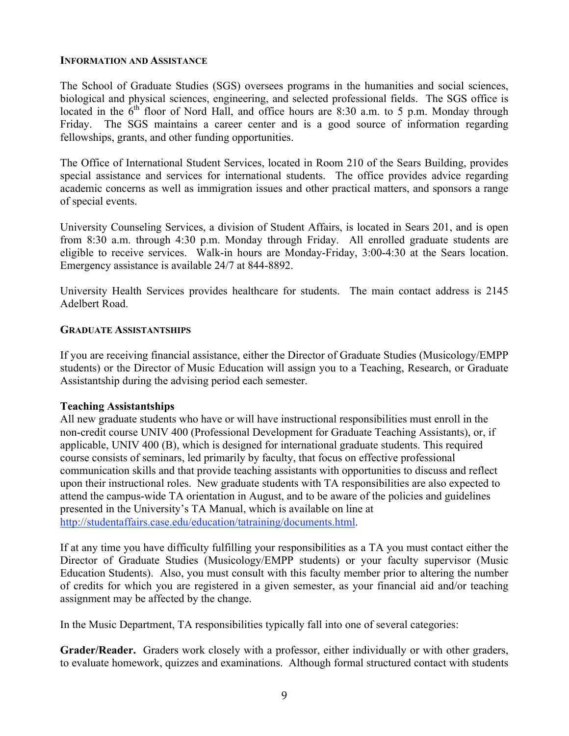#### **INFORMATION AND ASSISTANCE**

The School of Graduate Studies (SGS) oversees programs in the humanities and social sciences, biological and physical sciences, engineering, and selected professional fields. The SGS office is located in the  $6<sup>th</sup>$  floor of Nord Hall, and office hours are 8:30 a.m. to 5 p.m. Monday through Friday. The SGS maintains a career center and is a good source of information regarding fellowships, grants, and other funding opportunities.

The Office of International Student Services, located in Room 210 of the Sears Building, provides special assistance and services for international students. The office provides advice regarding academic concerns as well as immigration issues and other practical matters, and sponsors a range of special events.

University Counseling Services, a division of Student Affairs, is located in Sears 201, and is open from 8:30 a.m. through 4:30 p.m. Monday through Friday. All enrolled graduate students are eligible to receive services. Walk-in hours are Monday-Friday, 3:00-4:30 at the Sears location. Emergency assistance is available 24/7 at 844-8892.

University Health Services provides healthcare for students. The main contact address is 2145 Adelbert Road.

# **GRADUATE ASSISTANTSHIPS**

If you are receiving financial assistance, either the Director of Graduate Studies (Musicology/EMPP students) or the Director of Music Education will assign you to a Teaching, Research, or Graduate Assistantship during the advising period each semester.

# **Teaching Assistantships**

All new graduate students who have or will have instructional responsibilities must enroll in the non-credit course UNIV 400 (Professional Development for Graduate Teaching Assistants), or, if applicable, UNIV 400 (B), which is designed for international graduate students. This required course consists of seminars, led primarily by faculty, that focus on effective professional communication skills and that provide teaching assistants with opportunities to discuss and reflect upon their instructional roles. New graduate students with TA responsibilities are also expected to attend the campus-wide TA orientation in August, and to be aware of the policies and guidelines presented in the University's TA Manual, which is available on line at http://studentaffairs.case.edu/education/tatraining/documents.html.

If at any time you have difficulty fulfilling your responsibilities as a TA you must contact either the Director of Graduate Studies (Musicology/EMPP students) or your faculty supervisor (Music Education Students). Also, you must consult with this faculty member prior to altering the number of credits for which you are registered in a given semester, as your financial aid and/or teaching assignment may be affected by the change.

In the Music Department, TA responsibilities typically fall into one of several categories:

**Grader/Reader.** Graders work closely with a professor, either individually or with other graders, to evaluate homework, quizzes and examinations. Although formal structured contact with students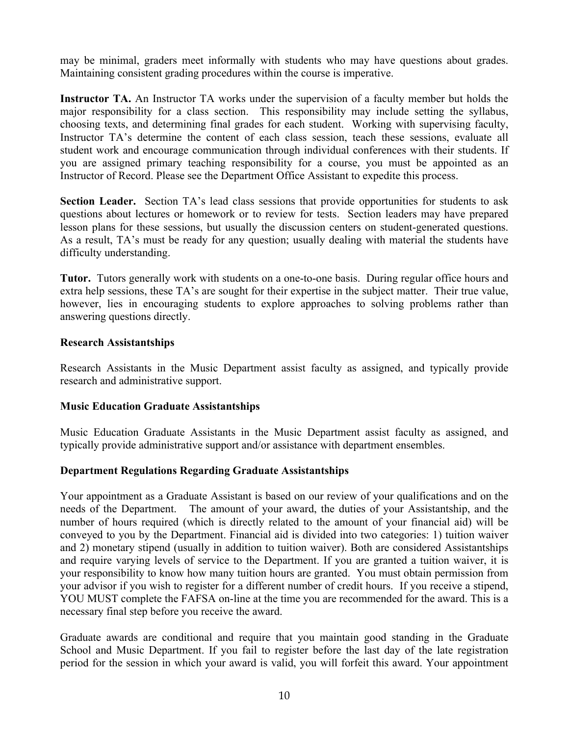may be minimal, graders meet informally with students who may have questions about grades. Maintaining consistent grading procedures within the course is imperative.

**Instructor TA.** An Instructor TA works under the supervision of a faculty member but holds the major responsibility for a class section. This responsibility may include setting the syllabus, choosing texts, and determining final grades for each student. Working with supervising faculty, Instructor TA's determine the content of each class session, teach these sessions, evaluate all student work and encourage communication through individual conferences with their students. If you are assigned primary teaching responsibility for a course, you must be appointed as an Instructor of Record. Please see the Department Office Assistant to expedite this process.

**Section Leader.** Section TA's lead class sessions that provide opportunities for students to ask questions about lectures or homework or to review for tests. Section leaders may have prepared lesson plans for these sessions, but usually the discussion centers on student-generated questions. As a result, TA's must be ready for any question; usually dealing with material the students have difficulty understanding.

**Tutor.** Tutors generally work with students on a one-to-one basis. During regular office hours and extra help sessions, these TA's are sought for their expertise in the subject matter. Their true value, however, lies in encouraging students to explore approaches to solving problems rather than answering questions directly.

# **Research Assistantships**

Research Assistants in the Music Department assist faculty as assigned, and typically provide research and administrative support.

# **Music Education Graduate Assistantships**

Music Education Graduate Assistants in the Music Department assist faculty as assigned, and typically provide administrative support and/or assistance with department ensembles.

# **Department Regulations Regarding Graduate Assistantships**

Your appointment as a Graduate Assistant is based on our review of your qualifications and on the needs of the Department. The amount of your award, the duties of your Assistantship, and the number of hours required (which is directly related to the amount of your financial aid) will be conveyed to you by the Department. Financial aid is divided into two categories: 1) tuition waiver and 2) monetary stipend (usually in addition to tuition waiver). Both are considered Assistantships and require varying levels of service to the Department. If you are granted a tuition waiver, it is your responsibility to know how many tuition hours are granted. You must obtain permission from your advisor if you wish to register for a different number of credit hours. If you receive a stipend, YOU MUST complete the FAFSA on-line at the time you are recommended for the award. This is a necessary final step before you receive the award.

Graduate awards are conditional and require that you maintain good standing in the Graduate School and Music Department. If you fail to register before the last day of the late registration period for the session in which your award is valid, you will forfeit this award. Your appointment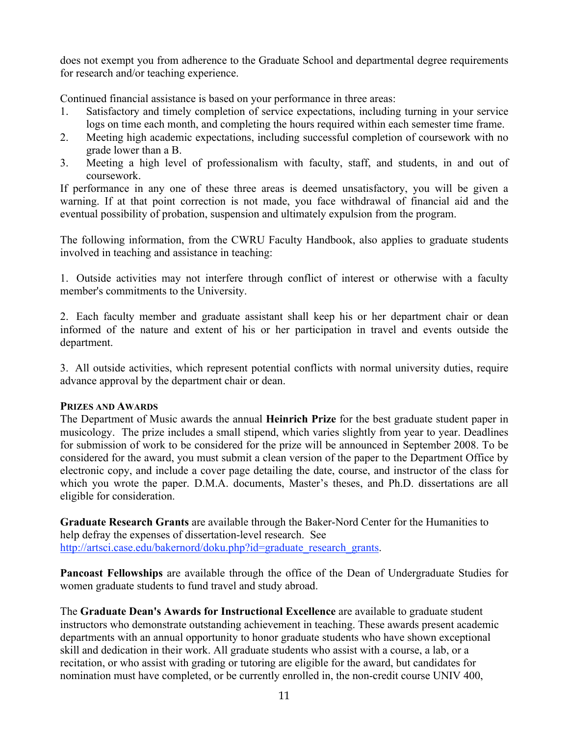does not exempt you from adherence to the Graduate School and departmental degree requirements for research and/or teaching experience.

Continued financial assistance is based on your performance in three areas:

- 1. Satisfactory and timely completion of service expectations, including turning in your service logs on time each month, and completing the hours required within each semester time frame.
- 2. Meeting high academic expectations, including successful completion of coursework with no grade lower than a B.
- 3. Meeting a high level of professionalism with faculty, staff, and students, in and out of coursework.

If performance in any one of these three areas is deemed unsatisfactory, you will be given a warning. If at that point correction is not made, you face withdrawal of financial aid and the eventual possibility of probation, suspension and ultimately expulsion from the program.

The following information, from the CWRU Faculty Handbook, also applies to graduate students involved in teaching and assistance in teaching:

1. Outside activities may not interfere through conflict of interest or otherwise with a faculty member's commitments to the University.

2. Each faculty member and graduate assistant shall keep his or her department chair or dean informed of the nature and extent of his or her participation in travel and events outside the department.

3. All outside activities, which represent potential conflicts with normal university duties, require advance approval by the department chair or dean.

# **PRIZES AND AWARDS**

The Department of Music awards the annual **Heinrich Prize** for the best graduate student paper in musicology. The prize includes a small stipend, which varies slightly from year to year. Deadlines for submission of work to be considered for the prize will be announced in September 2008. To be considered for the award, you must submit a clean version of the paper to the Department Office by electronic copy, and include a cover page detailing the date, course, and instructor of the class for which you wrote the paper. D.M.A. documents, Master's theses, and Ph.D. dissertations are all eligible for consideration.

**Graduate Research Grants** are available through the Baker-Nord Center for the Humanities to help defray the expenses of dissertation-level research. See http://artsci.case.edu/bakernord/doku.php?id=graduate\_research\_grants.

**Pancoast Fellowships** are available through the office of the Dean of Undergraduate Studies for women graduate students to fund travel and study abroad.

The **Graduate Dean's Awards for Instructional Excellence** are available to graduate student instructors who demonstrate outstanding achievement in teaching. These awards present academic departments with an annual opportunity to honor graduate students who have shown exceptional skill and dedication in their work. All graduate students who assist with a course, a lab, or a recitation, or who assist with grading or tutoring are eligible for the award, but candidates for nomination must have completed, or be currently enrolled in, the non-credit course UNIV 400,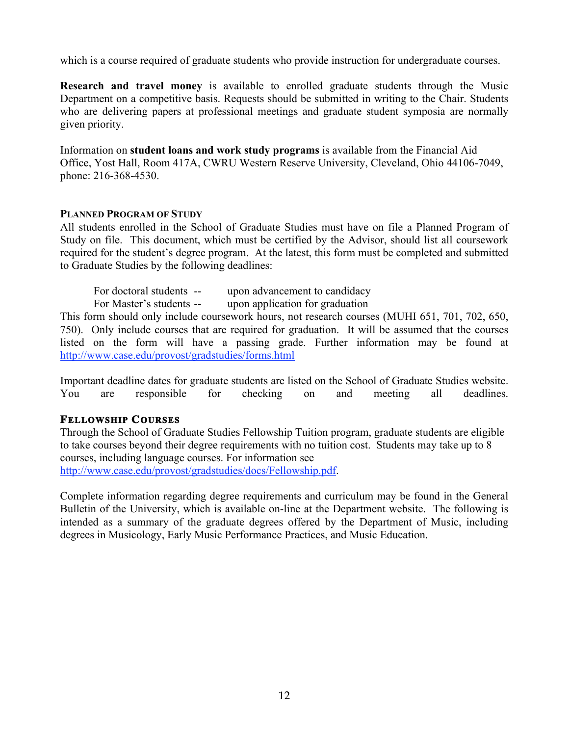which is a course required of graduate students who provide instruction for undergraduate courses.

**Research and travel money** is available to enrolled graduate students through the Music Department on a competitive basis. Requests should be submitted in writing to the Chair. Students who are delivering papers at professional meetings and graduate student symposia are normally given priority.

Information on **student loans and work study programs** is available from the Financial Aid Office, Yost Hall, Room 417A, CWRU Western Reserve University, Cleveland, Ohio 44106-7049, phone: 216-368-4530.

# **PLANNED PROGRAM OF STUDY**

All students enrolled in the School of Graduate Studies must have on file a Planned Program of Study on file. This document, which must be certified by the Advisor, should list all coursework required for the student's degree program. At the latest, this form must be completed and submitted to Graduate Studies by the following deadlines:

| For doctoral students -- | upon advancement to candidacy   |
|--------------------------|---------------------------------|
| For Master's students -- | upon application for graduation |

This form should only include coursework hours, not research courses (MUHI 651, 701, 702, 650, 750). Only include courses that are required for graduation. It will be assumed that the courses listed on the form will have a passing grade. Further information may be found at http://www.case.edu/provost/gradstudies/forms.html

Important deadline dates for graduate students are listed on the School of Graduate Studies website. You are responsible for checking on and meeting all deadlines.

# **FELLOWSHIP COURSES**

Through the School of Graduate Studies Fellowship Tuition program, graduate students are eligible to take courses beyond their degree requirements with no tuition cost. Students may take up to 8 courses, including language courses. For information see http://www.case.edu/provost/gradstudies/docs/Fellowship.pdf.

Complete information regarding degree requirements and curriculum may be found in the General Bulletin of the University, which is available on-line at the Department website. The following is intended as a summary of the graduate degrees offered by the Department of Music, including degrees in Musicology, Early Music Performance Practices, and Music Education.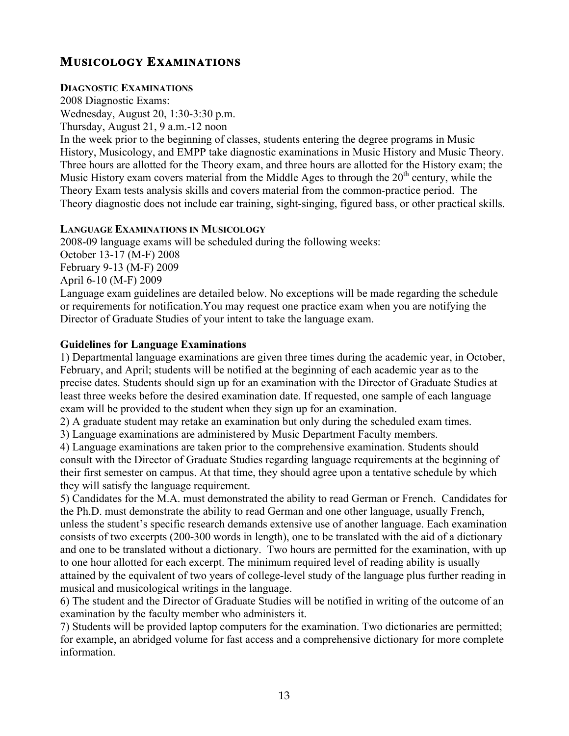# **MUSICOLOGY EXAMINATIONS**

# **DIAGNOSTIC EXAMINATIONS**

2008 Diagnostic Exams: Wednesday, August 20, 1:30-3:30 p.m.

Thursday, August 21, 9 a.m.-12 noon

In the week prior to the beginning of classes, students entering the degree programs in Music History, Musicology, and EMPP take diagnostic examinations in Music History and Music Theory. Three hours are allotted for the Theory exam, and three hours are allotted for the History exam; the Music History exam covers material from the Middle Ages to through the  $20<sup>th</sup>$  century, while the Theory Exam tests analysis skills and covers material from the common-practice period. The Theory diagnostic does not include ear training, sight-singing, figured bass, or other practical skills.

# **LANGUAGE EXAMINATIONS IN MUSICOLOGY**

2008-09 language exams will be scheduled during the following weeks: October 13-17 (M-F) 2008 February 9-13 (M-F) 2009 April 6-10 (M-F) 2009 Language exam guidelines are detailed below. No exceptions will be made regarding the schedule or requirements for notification.You may request one practice exam when you are notifying the Director of Graduate Studies of your intent to take the language exam.

# **Guidelines for Language Examinations**

1) Departmental language examinations are given three times during the academic year, in October, February, and April; students will be notified at the beginning of each academic year as to the precise dates. Students should sign up for an examination with the Director of Graduate Studies at least three weeks before the desired examination date. If requested, one sample of each language exam will be provided to the student when they sign up for an examination.

2) A graduate student may retake an examination but only during the scheduled exam times.

3) Language examinations are administered by Music Department Faculty members.

4) Language examinations are taken prior to the comprehensive examination. Students should consult with the Director of Graduate Studies regarding language requirements at the beginning of their first semester on campus. At that time, they should agree upon a tentative schedule by which they will satisfy the language requirement.

5) Candidates for the M.A. must demonstrated the ability to read German or French. Candidates for the Ph.D. must demonstrate the ability to read German and one other language, usually French, unless the student's specific research demands extensive use of another language. Each examination consists of two excerpts (200-300 words in length), one to be translated with the aid of a dictionary and one to be translated without a dictionary. Two hours are permitted for the examination, with up to one hour allotted for each excerpt. The minimum required level of reading ability is usually attained by the equivalent of two years of college-level study of the language plus further reading in musical and musicological writings in the language.

6) The student and the Director of Graduate Studies will be notified in writing of the outcome of an examination by the faculty member who administers it.

7) Students will be provided laptop computers for the examination. Two dictionaries are permitted; for example, an abridged volume for fast access and a comprehensive dictionary for more complete information.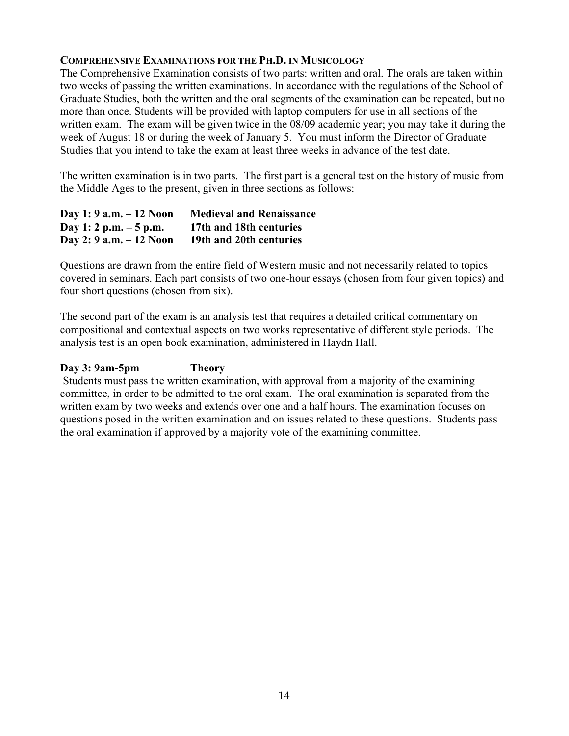# **COMPREHENSIVE EXAMINATIONS FOR THE PH.D. IN MUSICOLOGY**

The Comprehensive Examination consists of two parts: written and oral. The orals are taken within two weeks of passing the written examinations. In accordance with the regulations of the School of Graduate Studies, both the written and the oral segments of the examination can be repeated, but no more than once. Students will be provided with laptop computers for use in all sections of the written exam. The exam will be given twice in the 08/09 academic year; you may take it during the week of August 18 or during the week of January 5. You must inform the Director of Graduate Studies that you intend to take the exam at least three weeks in advance of the test date.

The written examination is in two parts. The first part is a general test on the history of music from the Middle Ages to the present, given in three sections as follows:

| Day 1: 9 a.m. – 12 Noon | <b>Medieval and Renaissance</b> |
|-------------------------|---------------------------------|
| Day 1: 2 p.m. $-5$ p.m. | 17th and 18th centuries         |
| Day 2: 9 a.m. – 12 Noon | 19th and 20th centuries         |

Questions are drawn from the entire field of Western music and not necessarily related to topics covered in seminars. Each part consists of two one-hour essays (chosen from four given topics) and four short questions (chosen from six).

The second part of the exam is an analysis test that requires a detailed critical commentary on compositional and contextual aspects on two works representative of different style periods. The analysis test is an open book examination, administered in Haydn Hall.

# **Day 3: 9am-5pm Theory**

 Students must pass the written examination, with approval from a majority of the examining committee, in order to be admitted to the oral exam. The oral examination is separated from the written exam by two weeks and extends over one and a half hours. The examination focuses on questions posed in the written examination and on issues related to these questions. Students pass the oral examination if approved by a majority vote of the examining committee.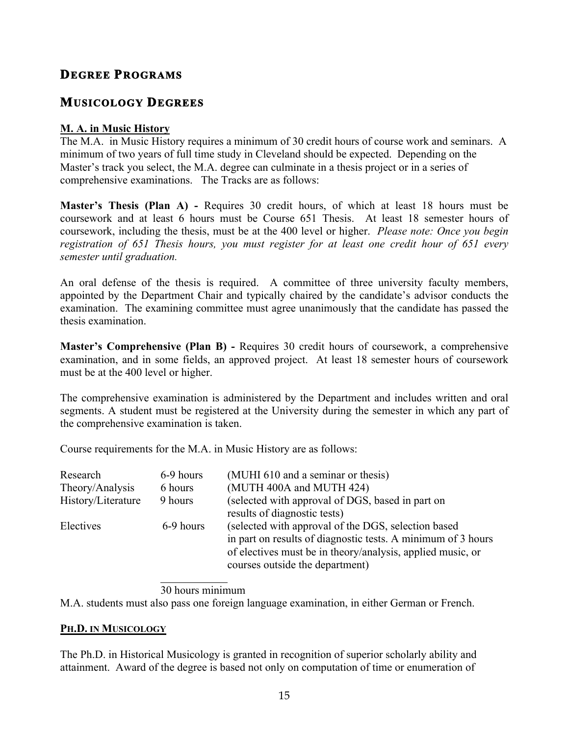# **DEGREE PROGRAMS**

# **MUSICOLOGY DEGREES**

# **M. A. in Music History**

The M.A. in Music History requires a minimum of 30 credit hours of course work and seminars. A minimum of two years of full time study in Cleveland should be expected. Depending on the Master's track you select, the M.A. degree can culminate in a thesis project or in a series of comprehensive examinations. The Tracks are as follows:

**Master's Thesis (Plan A) -** Requires 30 credit hours, of which at least 18 hours must be coursework and at least 6 hours must be Course 651 Thesis. At least 18 semester hours of coursework, including the thesis, must be at the 400 level or higher. *Please note: Once you begin registration of 651 Thesis hours, you must register for at least one credit hour of 651 every semester until graduation.*

An oral defense of the thesis is required. A committee of three university faculty members, appointed by the Department Chair and typically chaired by the candidate's advisor conducts the examination. The examining committee must agree unanimously that the candidate has passed the thesis examination.

**Master's Comprehensive (Plan B) -** Requires 30 credit hours of coursework, a comprehensive examination, and in some fields, an approved project. At least 18 semester hours of coursework must be at the 400 level or higher.

The comprehensive examination is administered by the Department and includes written and oral segments. A student must be registered at the University during the semester in which any part of the comprehensive examination is taken.

Course requirements for the M.A. in Music History are as follows:

| Research<br>Theory/Analysis | 6-9 hours<br>6 hours | (MUHI 610 and a seminar or thesis)<br>(MUTH 400A and MUTH 424)                                                                                                                                                        |
|-----------------------------|----------------------|-----------------------------------------------------------------------------------------------------------------------------------------------------------------------------------------------------------------------|
|                             |                      |                                                                                                                                                                                                                       |
| History/Literature          | 9 hours              | (selected with approval of DGS, based in part on<br>results of diagnostic tests)                                                                                                                                      |
| Electives                   | 6-9 hours            | (selected with approval of the DGS, selection based)<br>in part on results of diagnostic tests. A minimum of 3 hours<br>of electives must be in theory/analysis, applied music, or<br>courses outside the department) |

30 hours minimum

M.A. students must also pass one foreign language examination, in either German or French.

# **PH.D. IN MUSICOLOGY**

The Ph.D. in Historical Musicology is granted in recognition of superior scholarly ability and attainment. Award of the degree is based not only on computation of time or enumeration of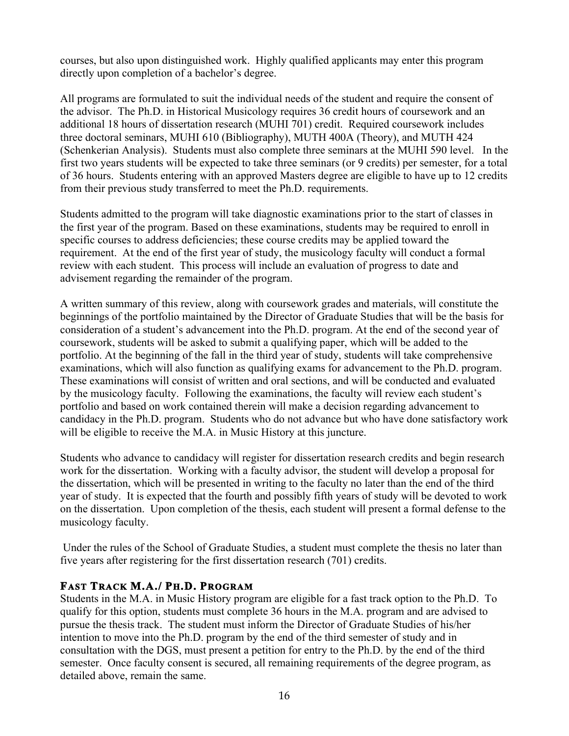courses, but also upon distinguished work. Highly qualified applicants may enter this program directly upon completion of a bachelor's degree.

All programs are formulated to suit the individual needs of the student and require the consent of the advisor. The Ph.D. in Historical Musicology requires 36 credit hours of coursework and an additional 18 hours of dissertation research (MUHI 701) credit. Required coursework includes three doctoral seminars, MUHI 610 (Bibliography), MUTH 400A (Theory), and MUTH 424 (Schenkerian Analysis). Students must also complete three seminars at the MUHI 590 level. In the first two years students will be expected to take three seminars (or 9 credits) per semester, for a total of 36 hours. Students entering with an approved Masters degree are eligible to have up to 12 credits from their previous study transferred to meet the Ph.D. requirements.

Students admitted to the program will take diagnostic examinations prior to the start of classes in the first year of the program. Based on these examinations, students may be required to enroll in specific courses to address deficiencies; these course credits may be applied toward the requirement. At the end of the first year of study, the musicology faculty will conduct a formal review with each student. This process will include an evaluation of progress to date and advisement regarding the remainder of the program.

A written summary of this review, along with coursework grades and materials, will constitute the beginnings of the portfolio maintained by the Director of Graduate Studies that will be the basis for consideration of a student's advancement into the Ph.D. program. At the end of the second year of coursework, students will be asked to submit a qualifying paper, which will be added to the portfolio. At the beginning of the fall in the third year of study, students will take comprehensive examinations, which will also function as qualifying exams for advancement to the Ph.D. program. These examinations will consist of written and oral sections, and will be conducted and evaluated by the musicology faculty. Following the examinations, the faculty will review each student's portfolio and based on work contained therein will make a decision regarding advancement to candidacy in the Ph.D. program. Students who do not advance but who have done satisfactory work will be eligible to receive the M.A. in Music History at this juncture.

Students who advance to candidacy will register for dissertation research credits and begin research work for the dissertation. Working with a faculty advisor, the student will develop a proposal for the dissertation, which will be presented in writing to the faculty no later than the end of the third year of study. It is expected that the fourth and possibly fifth years of study will be devoted to work on the dissertation. Upon completion of the thesis, each student will present a formal defense to the musicology faculty.

 Under the rules of the School of Graduate Studies, a student must complete the thesis no later than five years after registering for the first dissertation research (701) credits.

# **FAST TRACK M.A./ PH.D. PROGRAM**

Students in the M.A. in Music History program are eligible for a fast track option to the Ph.D. To qualify for this option, students must complete 36 hours in the M.A. program and are advised to pursue the thesis track. The student must inform the Director of Graduate Studies of his/her intention to move into the Ph.D. program by the end of the third semester of study and in consultation with the DGS, must present a petition for entry to the Ph.D. by the end of the third semester. Once faculty consent is secured, all remaining requirements of the degree program, as detailed above, remain the same.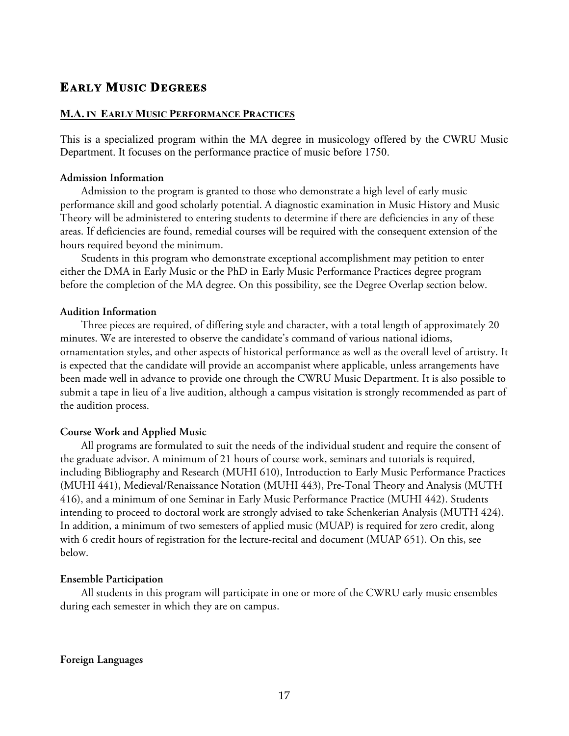# **EARLY MUSIC DEGREES**

#### **M.A. IN EARLY MUSIC PERFORMANCE PRACTICES**

This is a specialized program within the MA degree in musicology offered by the CWRU Music Department. It focuses on the performance practice of music before 1750.

#### **Admission Information**

Admission to the program is granted to those who demonstrate a high level of early music performance skill and good scholarly potential. A diagnostic examination in Music History and Music Theory will be administered to entering students to determine if there are deficiencies in any of these areas. If deficiencies are found, remedial courses will be required with the consequent extension of the hours required beyond the minimum.

Students in this program who demonstrate exceptional accomplishment may petition to enter either the DMA in Early Music or the PhD in Early Music Performance Practices degree program before the completion of the MA degree. On this possibility, see the Degree Overlap section below.

#### **Audition Information**

Three pieces are required, of differing style and character, with a total length of approximately 20 minutes. We are interested to observe the candidate's command of various national idioms, ornamentation styles, and other aspects of historical performance as well as the overall level of artistry. It is expected that the candidate will provide an accompanist where applicable, unless arrangements have been made well in advance to provide one through the CWRU Music Department. It is also possible to submit a tape in lieu of a live audition, although a campus visitation is strongly recommended as part of the audition process.

# **Course Work and Applied Music**

All programs are formulated to suit the needs of the individual student and require the consent of the graduate advisor. A minimum of 21 hours of course work, seminars and tutorials is required, including Bibliography and Research (MUHI 610), Introduction to Early Music Performance Practices (MUHI 441), Medieval/Renaissance Notation (MUHI 443), Pre-Tonal Theory and Analysis (MUTH 416), and a minimum of one Seminar in Early Music Performance Practice (MUHI 442). Students intending to proceed to doctoral work are strongly advised to take Schenkerian Analysis (MUTH 424). In addition, a minimum of two semesters of applied music (MUAP) is required for zero credit, along with 6 credit hours of registration for the lecture-recital and document (MUAP 651). On this, see below.

#### **Ensemble Participation**

All students in this program will participate in one or more of the CWRU early music ensembles during each semester in which they are on campus.

**Foreign Languages**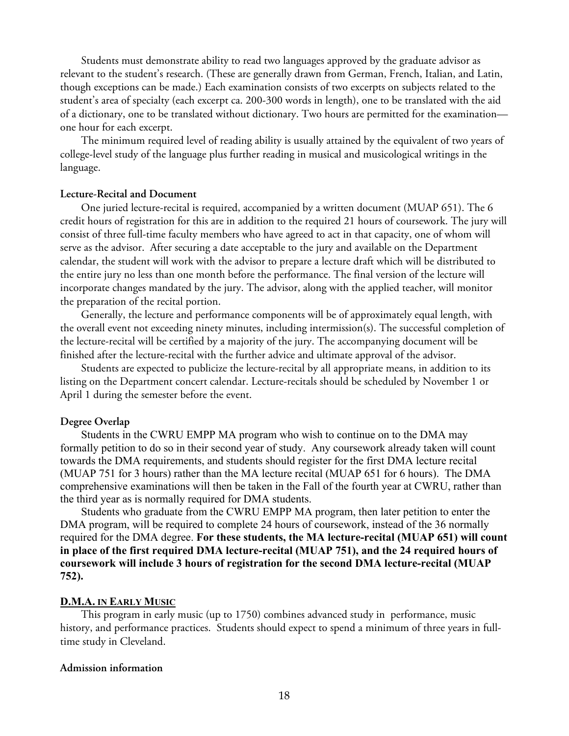Students must demonstrate ability to read two languages approved by the graduate advisor as relevant to the student's research. (These are generally drawn from German, French, Italian, and Latin, though exceptions can be made.) Each examination consists of two excerpts on subjects related to the student's area of specialty (each excerpt ca. 200-300 words in length), one to be translated with the aid of a dictionary, one to be translated without dictionary. Two hours are permitted for the examination one hour for each excerpt.

The minimum required level of reading ability is usually attained by the equivalent of two years of college-level study of the language plus further reading in musical and musicological writings in the language.

#### **Lecture-Recital and Document**

One juried lecture-recital is required, accompanied by a written document (MUAP 651). The 6 credit hours of registration for this are in addition to the required 21 hours of coursework. The jury will consist of three full-time faculty members who have agreed to act in that capacity, one of whom will serve as the advisor. After securing a date acceptable to the jury and available on the Department calendar, the student will work with the advisor to prepare a lecture draft which will be distributed to the entire jury no less than one month before the performance. The final version of the lecture will incorporate changes mandated by the jury. The advisor, along with the applied teacher, will monitor the preparation of the recital portion.

Generally, the lecture and performance components will be of approximately equal length, with the overall event not exceeding ninety minutes, including intermission(s). The successful completion of the lecture-recital will be certified by a majority of the jury. The accompanying document will be finished after the lecture-recital with the further advice and ultimate approval of the advisor.

Students are expected to publicize the lecture-recital by all appropriate means, in addition to its listing on the Department concert calendar. Lecture-recitals should be scheduled by November 1 or April 1 during the semester before the event.

#### **Degree Overlap**

Students in the CWRU EMPP MA program who wish to continue on to the DMA may formally petition to do so in their second year of study. Any coursework already taken will count towards the DMA requirements, and students should register for the first DMA lecture recital (MUAP 751 for 3 hours) rather than the MA lecture recital (MUAP 651 for 6 hours). The DMA comprehensive examinations will then be taken in the Fall of the fourth year at CWRU, rather than the third year as is normally required for DMA students.

Students who graduate from the CWRU EMPP MA program, then later petition to enter the DMA program, will be required to complete 24 hours of coursework, instead of the 36 normally required for the DMA degree. **For these students, the MA lecture-recital (MUAP 651) will count in place of the first required DMA lecture-recital (MUAP 751), and the 24 required hours of coursework will include 3 hours of registration for the second DMA lecture-recital (MUAP 752).** 

#### **D.M.A. IN EARLY MUSIC**

This program in early music (up to 1750) combines advanced study in performance, music history, and performance practices. Students should expect to spend a minimum of three years in fulltime study in Cleveland.

#### **Admission information**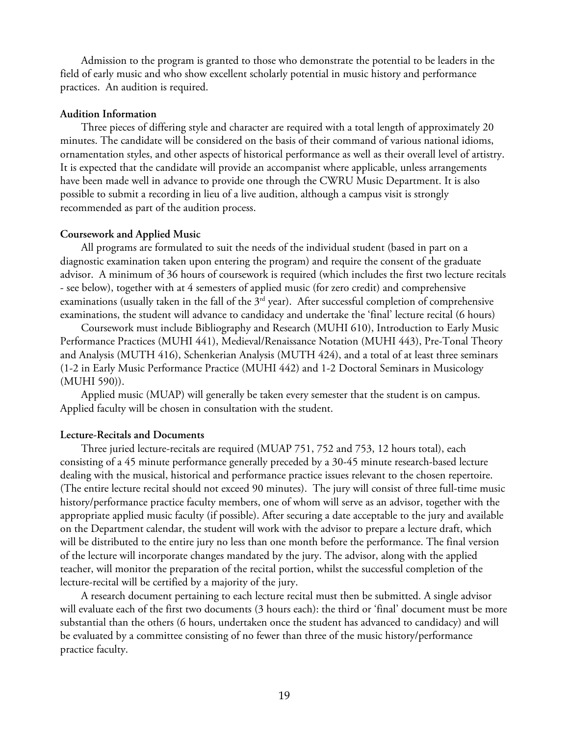Admission to the program is granted to those who demonstrate the potential to be leaders in the field of early music and who show excellent scholarly potential in music history and performance practices. An audition is required.

#### **Audition Information**

Three pieces of differing style and character are required with a total length of approximately 20 minutes. The candidate will be considered on the basis of their command of various national idioms, ornamentation styles, and other aspects of historical performance as well as their overall level of artistry. It is expected that the candidate will provide an accompanist where applicable, unless arrangements have been made well in advance to provide one through the CWRU Music Department. It is also possible to submit a recording in lieu of a live audition, although a campus visit is strongly recommended as part of the audition process.

#### **Coursework and Applied Music**

All programs are formulated to suit the needs of the individual student (based in part on a diagnostic examination taken upon entering the program) and require the consent of the graduate advisor. A minimum of 36 hours of coursework is required (which includes the first two lecture recitals - see below), together with at 4 semesters of applied music (for zero credit) and comprehensive examinations (usually taken in the fall of the 3<sup>rd</sup> year). After successful completion of comprehensive examinations, the student will advance to candidacy and undertake the 'final' lecture recital (6 hours)

Coursework must include Bibliography and Research (MUHI 610), Introduction to Early Music Performance Practices (MUHI 441), Medieval/Renaissance Notation (MUHI 443), Pre-Tonal Theory and Analysis (MUTH 416), Schenkerian Analysis (MUTH 424), and a total of at least three seminars (1-2 in Early Music Performance Practice (MUHI 442) and 1-2 Doctoral Seminars in Musicology (MUHI 590)).

Applied music (MUAP) will generally be taken every semester that the student is on campus. Applied faculty will be chosen in consultation with the student.

#### **Lecture-Recitals and Documents**

Three juried lecture-recitals are required (MUAP 751, 752 and 753, 12 hours total), each consisting of a 45 minute performance generally preceded by a 30-45 minute research-based lecture dealing with the musical, historical and performance practice issues relevant to the chosen repertoire. (The entire lecture recital should not exceed 90 minutes). The jury will consist of three full-time music history/performance practice faculty members, one of whom will serve as an advisor, together with the appropriate applied music faculty (if possible). After securing a date acceptable to the jury and available on the Department calendar, the student will work with the advisor to prepare a lecture draft, which will be distributed to the entire jury no less than one month before the performance. The final version of the lecture will incorporate changes mandated by the jury. The advisor, along with the applied teacher, will monitor the preparation of the recital portion, whilst the successful completion of the lecture-recital will be certified by a majority of the jury.

A research document pertaining to each lecture recital must then be submitted. A single advisor will evaluate each of the first two documents (3 hours each): the third or 'final' document must be more substantial than the others (6 hours, undertaken once the student has advanced to candidacy) and will be evaluated by a committee consisting of no fewer than three of the music history/performance practice faculty.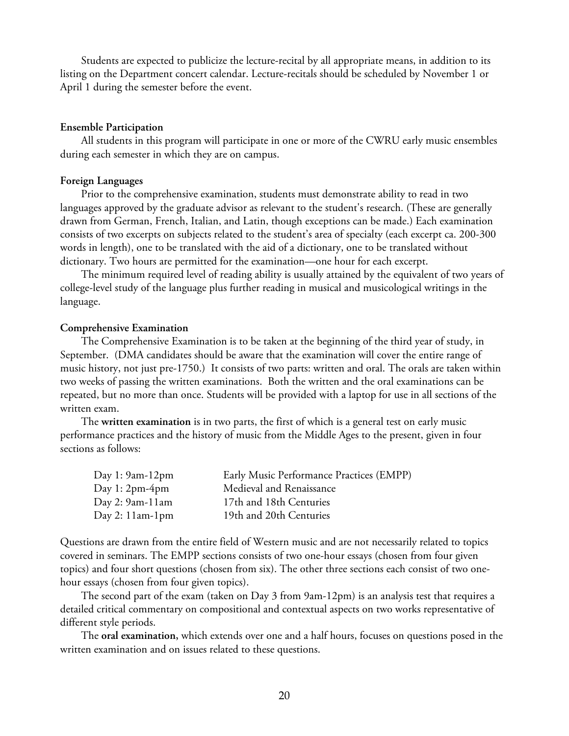Students are expected to publicize the lecture-recital by all appropriate means, in addition to its listing on the Department concert calendar. Lecture-recitals should be scheduled by November 1 or April 1 during the semester before the event.

#### **Ensemble Participation**

All students in this program will participate in one or more of the CWRU early music ensembles during each semester in which they are on campus.

#### **Foreign Languages**

Prior to the comprehensive examination, students must demonstrate ability to read in two languages approved by the graduate advisor as relevant to the student's research. (These are generally drawn from German, French, Italian, and Latin, though exceptions can be made.) Each examination consists of two excerpts on subjects related to the student's area of specialty (each excerpt ca. 200-300 words in length), one to be translated with the aid of a dictionary, one to be translated without dictionary. Two hours are permitted for the examination—one hour for each excerpt.

The minimum required level of reading ability is usually attained by the equivalent of two years of college-level study of the language plus further reading in musical and musicological writings in the language.

#### **Comprehensive Examination**

The Comprehensive Examination is to be taken at the beginning of the third year of study, in September. (DMA candidates should be aware that the examination will cover the entire range of music history, not just pre-1750.) It consists of two parts: written and oral. The orals are taken within two weeks of passing the written examinations. Both the written and the oral examinations can be repeated, but no more than once. Students will be provided with a laptop for use in all sections of the written exam.

The **written examination** is in two parts, the first of which is a general test on early music performance practices and the history of music from the Middle Ages to the present, given in four sections as follows:

| Early Music Performance Practices (EMPP) |
|------------------------------------------|
| Medieval and Renaissance                 |
| 17th and 18th Centuries                  |
| 19th and 20th Centuries                  |
|                                          |

Questions are drawn from the entire field of Western music and are not necessarily related to topics covered in seminars. The EMPP sections consists of two one-hour essays (chosen from four given topics) and four short questions (chosen from six). The other three sections each consist of two onehour essays (chosen from four given topics).

The second part of the exam (taken on Day 3 from 9am-12pm) is an analysis test that requires a detailed critical commentary on compositional and contextual aspects on two works representative of different style periods.

The **oral examination,** which extends over one and a half hours, focuses on questions posed in the written examination and on issues related to these questions.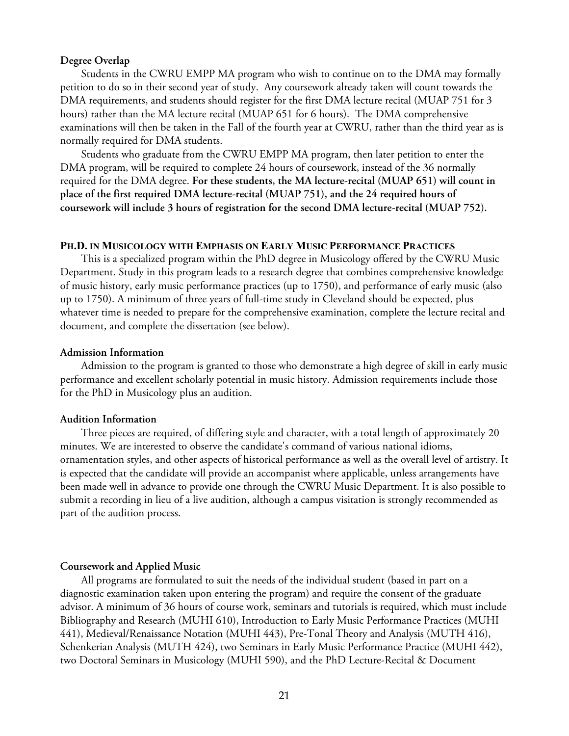#### **Degree Overlap**

Students in the CWRU EMPP MA program who wish to continue on to the DMA may formally petition to do so in their second year of study. Any coursework already taken will count towards the DMA requirements, and students should register for the first DMA lecture recital (MUAP 751 for 3 hours) rather than the MA lecture recital (MUAP 651 for 6 hours). The DMA comprehensive examinations will then be taken in the Fall of the fourth year at CWRU, rather than the third year as is normally required for DMA students.

Students who graduate from the CWRU EMPP MA program, then later petition to enter the DMA program, will be required to complete 24 hours of coursework, instead of the 36 normally required for the DMA degree. **For these students, the MA lecture-recital (MUAP 651) will count in place of the first required DMA lecture-recital (MUAP 751), and the 24 required hours of coursework will include 3 hours of registration for the second DMA lecture-recital (MUAP 752).**

#### **PH.D. IN MUSICOLOGY WITH EMPHASIS ON EARLY MUSIC PERFORMANCE PRACTICES**

This is a specialized program within the PhD degree in Musicology offered by the CWRU Music Department. Study in this program leads to a research degree that combines comprehensive knowledge of music history, early music performance practices (up to 1750), and performance of early music (also up to 1750). A minimum of three years of full-time study in Cleveland should be expected, plus whatever time is needed to prepare for the comprehensive examination, complete the lecture recital and document, and complete the dissertation (see below).

#### **Admission Information**

Admission to the program is granted to those who demonstrate a high degree of skill in early music performance and excellent scholarly potential in music history. Admission requirements include those for the PhD in Musicology plus an audition.

#### **Audition Information**

Three pieces are required, of differing style and character, with a total length of approximately 20 minutes. We are interested to observe the candidate's command of various national idioms, ornamentation styles, and other aspects of historical performance as well as the overall level of artistry. It is expected that the candidate will provide an accompanist where applicable, unless arrangements have been made well in advance to provide one through the CWRU Music Department. It is also possible to submit a recording in lieu of a live audition, although a campus visitation is strongly recommended as part of the audition process.

#### **Coursework and Applied Music**

All programs are formulated to suit the needs of the individual student (based in part on a diagnostic examination taken upon entering the program) and require the consent of the graduate advisor. A minimum of 36 hours of course work, seminars and tutorials is required, which must include Bibliography and Research (MUHI 610), Introduction to Early Music Performance Practices (MUHI 441), Medieval/Renaissance Notation (MUHI 443), Pre-Tonal Theory and Analysis (MUTH 416), Schenkerian Analysis (MUTH 424), two Seminars in Early Music Performance Practice (MUHI 442), two Doctoral Seminars in Musicology (MUHI 590), and the PhD Lecture-Recital & Document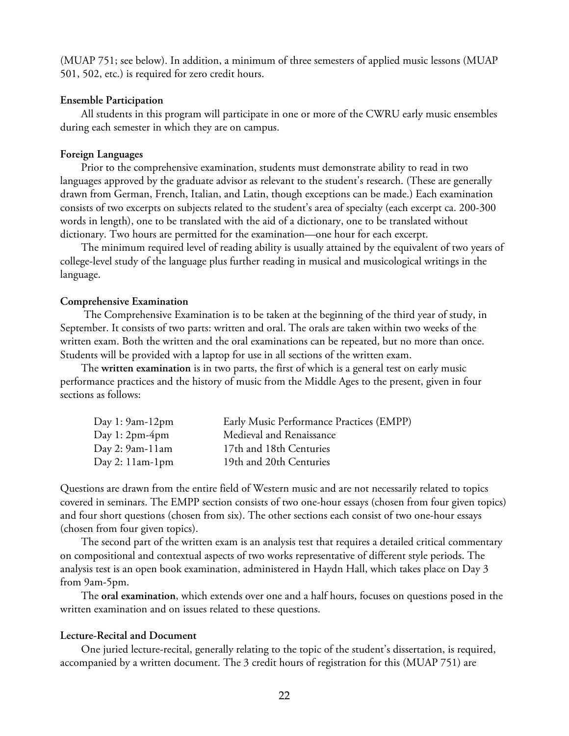(MUAP 751; see below). In addition, a minimum of three semesters of applied music lessons (MUAP 501, 502, etc.) is required for zero credit hours.

#### **Ensemble Participation**

All students in this program will participate in one or more of the CWRU early music ensembles during each semester in which they are on campus.

#### **Foreign Languages**

Prior to the comprehensive examination, students must demonstrate ability to read in two languages approved by the graduate advisor as relevant to the student's research. (These are generally drawn from German, French, Italian, and Latin, though exceptions can be made.) Each examination consists of two excerpts on subjects related to the student's area of specialty (each excerpt ca. 200-300 words in length), one to be translated with the aid of a dictionary, one to be translated without dictionary. Two hours are permitted for the examination—one hour for each excerpt.

The minimum required level of reading ability is usually attained by the equivalent of two years of college-level study of the language plus further reading in musical and musicological writings in the language.

#### **Comprehensive Examination**

 The Comprehensive Examination is to be taken at the beginning of the third year of study, in September. It consists of two parts: written and oral. The orals are taken within two weeks of the written exam. Both the written and the oral examinations can be repeated, but no more than once. Students will be provided with a laptop for use in all sections of the written exam.

The **written examination** is in two parts, the first of which is a general test on early music performance practices and the history of music from the Middle Ages to the present, given in four sections as follows:

| Day 1: $9am-12pm$ | Early Music Performance Practices (EMPP) |
|-------------------|------------------------------------------|
| Day 1: $2pm-4pm$  | Medieval and Renaissance                 |
| Day 2: $9am-11am$ | 17th and 18th Centuries                  |
| Day 2: $11am-1pm$ | 19th and 20th Centuries                  |

Questions are drawn from the entire field of Western music and are not necessarily related to topics covered in seminars. The EMPP section consists of two one-hour essays (chosen from four given topics) and four short questions (chosen from six). The other sections each consist of two one-hour essays (chosen from four given topics).

The second part of the written exam is an analysis test that requires a detailed critical commentary on compositional and contextual aspects of two works representative of different style periods. The analysis test is an open book examination, administered in Haydn Hall, which takes place on Day 3 from 9am-5pm.

The **oral examination**, which extends over one and a half hours, focuses on questions posed in the written examination and on issues related to these questions.

#### **Lecture-Recital and Document**

One juried lecture-recital, generally relating to the topic of the student's dissertation, is required, accompanied by a written document. The 3 credit hours of registration for this (MUAP 751) are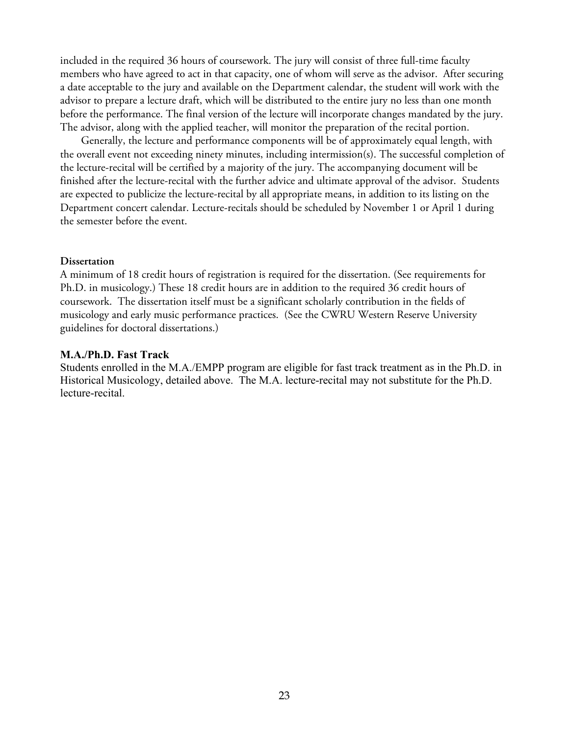included in the required 36 hours of coursework. The jury will consist of three full-time faculty members who have agreed to act in that capacity, one of whom will serve as the advisor. After securing a date acceptable to the jury and available on the Department calendar, the student will work with the advisor to prepare a lecture draft, which will be distributed to the entire jury no less than one month before the performance. The final version of the lecture will incorporate changes mandated by the jury. The advisor, along with the applied teacher, will monitor the preparation of the recital portion.

Generally, the lecture and performance components will be of approximately equal length, with the overall event not exceeding ninety minutes, including intermission(s). The successful completion of the lecture-recital will be certified by a majority of the jury. The accompanying document will be finished after the lecture-recital with the further advice and ultimate approval of the advisor. Students are expected to publicize the lecture-recital by all appropriate means, in addition to its listing on the Department concert calendar. Lecture-recitals should be scheduled by November 1 or April 1 during the semester before the event.

#### **Dissertation**

A minimum of 18 credit hours of registration is required for the dissertation. (See requirements for Ph.D. in musicology.) These 18 credit hours are in addition to the required 36 credit hours of coursework. The dissertation itself must be a significant scholarly contribution in the fields of musicology and early music performance practices. (See the CWRU Western Reserve University guidelines for doctoral dissertations.)

#### **M.A./Ph.D. Fast Track**

Students enrolled in the M.A./EMPP program are eligible for fast track treatment as in the Ph.D. in Historical Musicology, detailed above. The M.A. lecture-recital may not substitute for the Ph.D. lecture-recital.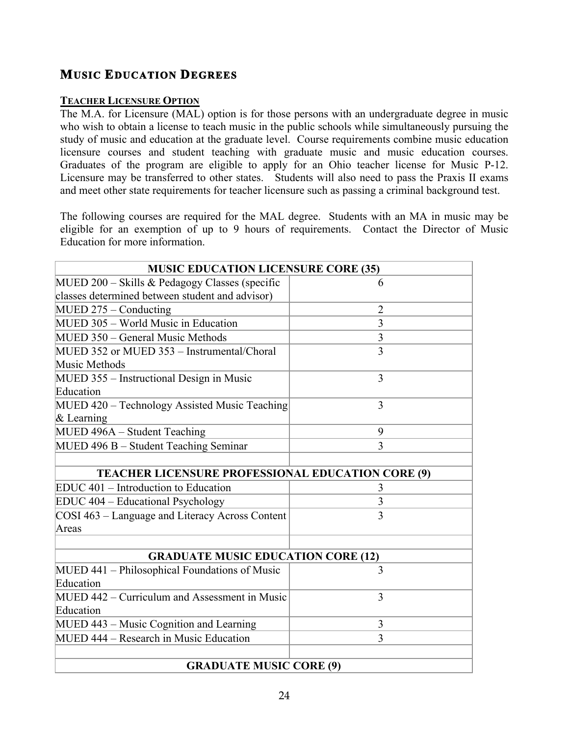# **MUSIC EDUCATION DEGREES**

# **TEACHER LICENSURE OPTION**

The M.A. for Licensure (MAL) option is for those persons with an undergraduate degree in music who wish to obtain a license to teach music in the public schools while simultaneously pursuing the study of music and education at the graduate level. Course requirements combine music education licensure courses and student teaching with graduate music and music education courses. Graduates of the program are eligible to apply for an Ohio teacher license for Music P-12. Licensure may be transferred to other states. Students will also need to pass the Praxis II exams and meet other state requirements for teacher licensure such as passing a criminal background test.

The following courses are required for the MAL degree. Students with an MA in music may be eligible for an exemption of up to 9 hours of requirements. Contact the Director of Music Education for more information.

| <b>MUSIC EDUCATION LICENSURE CORE (35)</b>               |                |  |  |  |  |
|----------------------------------------------------------|----------------|--|--|--|--|
| MUED $200$ – Skills & Pedagogy Classes (specific         | 6              |  |  |  |  |
| classes determined between student and advisor)          |                |  |  |  |  |
| $MUED 275 - Conducting$                                  | $\overline{2}$ |  |  |  |  |
| MUED 305 - World Music in Education                      | $\overline{3}$ |  |  |  |  |
| MUED 350 – General Music Methods                         | 3              |  |  |  |  |
| MUED 352 or MUED 353 - Instrumental/Choral               | 3              |  |  |  |  |
| Music Methods                                            |                |  |  |  |  |
| MUED 355 - Instructional Design in Music                 | 3              |  |  |  |  |
| Education                                                |                |  |  |  |  |
| MUED 420 - Technology Assisted Music Teaching            | 3              |  |  |  |  |
| $\&$ Learning                                            |                |  |  |  |  |
| MUED 496A - Student Teaching                             | 9              |  |  |  |  |
| MUED 496 B - Student Teaching Seminar                    | 3              |  |  |  |  |
|                                                          |                |  |  |  |  |
| <b>TEACHER LICENSURE PROFESSIONAL EDUCATION CORE (9)</b> |                |  |  |  |  |
| EDUC 401 – Introduction to Education                     | 3              |  |  |  |  |
| EDUC 404 – Educational Psychology                        | $\overline{3}$ |  |  |  |  |
| COSI 463 – Language and Literacy Across Content          | 3              |  |  |  |  |
| Areas                                                    |                |  |  |  |  |
|                                                          |                |  |  |  |  |
| <b>GRADUATE MUSIC EDUCATION CORE (12)</b>                |                |  |  |  |  |
| MUED 441 – Philosophical Foundations of Music            | 3              |  |  |  |  |
| Education                                                |                |  |  |  |  |
| MUED 442 – Curriculum and Assessment in Music            | 3              |  |  |  |  |
| Education                                                |                |  |  |  |  |
| MUED 443 – Music Cognition and Learning                  | 3              |  |  |  |  |
| MUED 444 – Research in Music Education                   | $\overline{3}$ |  |  |  |  |
|                                                          |                |  |  |  |  |
| <b>GRADUATE MUSIC CORE (9)</b>                           |                |  |  |  |  |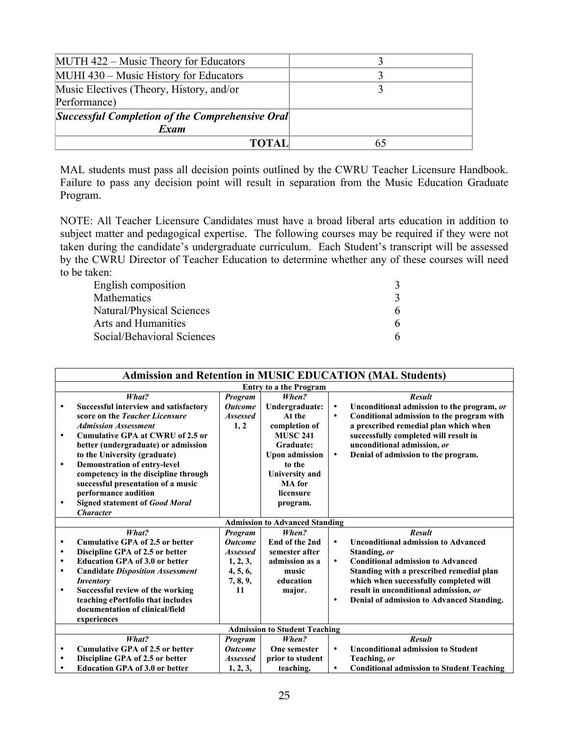| MUTH 422 – Music Theory for Educators                  |    |
|--------------------------------------------------------|----|
| MUHI 430 – Music History for Educators                 |    |
| Music Electives (Theory, History, and/or               |    |
| Performance)                                           |    |
| <i>Successful Completion of the Comprehensive Oral</i> |    |
| Exam                                                   |    |
| TOTAL                                                  | 65 |

MAL students must pass all decision points outlined by the CWRU Teacher Licensure Handbook. Failure to pass any decision point will result in separation from the Music Education Graduate Program.

NOTE: All Teacher Licensure Candidates must have a broad liberal arts education in addition to subject matter and pedagogical expertise. The following courses may be required if they were not taken during the candidate's undergraduate curriculum. Each Student's transcript will be assessed by the CWRU Director of Teacher Education to determine whether any of these courses will need to be taken:

| English composition        |   |
|----------------------------|---|
| <b>Mathematics</b>         |   |
| Natural/Physical Sciences  | 6 |
| Arts and Humanities        | 6 |
| Social/Behavioral Sciences | 6 |

| <b>Admission and Retention in MUSIC EDUCATION (MAL Students)</b> |                                         |                 |                                       |           |                                                  |
|------------------------------------------------------------------|-----------------------------------------|-----------------|---------------------------------------|-----------|--------------------------------------------------|
| <b>Entry to a the Program</b>                                    |                                         |                 |                                       |           |                                                  |
|                                                                  | What?                                   | Program         | When?                                 |           | <b>Result</b>                                    |
| ٠                                                                | Successful interview and satisfactory   | <b>Outcome</b>  | Undergraduate:                        | $\bullet$ | Unconditional admission to the program, or       |
|                                                                  | score on the Teacher Licensure          | <b>Assessed</b> | At the                                | $\bullet$ | Conditional admission to the program with        |
|                                                                  | <b>Admission Assessment</b>             | 1, 2            | completion of                         |           | a prescribed remedial plan which when            |
| $\bullet$                                                        | <b>Cumulative GPA at CWRU of 2.5 or</b> |                 | <b>MUSC 241</b>                       |           | successfully completed will result in            |
|                                                                  | better (undergraduate) or admission     |                 | Graduate:                             |           | unconditional admission, or                      |
|                                                                  | to the University (graduate)            |                 | <b>Upon admission</b>                 | $\bullet$ | Denial of admission to the program.              |
| $\bullet$                                                        | <b>Demonstration of entry-level</b>     |                 | to the                                |           |                                                  |
|                                                                  | competency in the discipline through    |                 | <b>University</b> and                 |           |                                                  |
|                                                                  | successful presentation of a music      |                 | <b>MA</b> for                         |           |                                                  |
|                                                                  | performance audition                    |                 | licensure                             |           |                                                  |
| $\bullet$                                                        | <b>Signed statement of Good Moral</b>   |                 | program.                              |           |                                                  |
|                                                                  | <b>Character</b>                        |                 |                                       |           |                                                  |
|                                                                  |                                         |                 | <b>Admission to Advanced Standing</b> |           |                                                  |
|                                                                  | What?                                   | Program         | When?                                 |           | <b>Result</b>                                    |
| ٠                                                                | <b>Cumulative GPA of 2.5 or better</b>  | <b>Outcome</b>  | End of the 2nd                        | $\bullet$ | <b>Unconditional admission to Advanced</b>       |
| ٠                                                                | Discipline GPA of 2.5 or better         | <b>Assessed</b> | semester after                        |           | Standing, or                                     |
| $\bullet$                                                        | <b>Education GPA of 3.0 or better</b>   | 1, 2, 3,        | admission as a                        | $\bullet$ | <b>Conditional admission to Advanced</b>         |
| $\bullet$                                                        | <b>Candidate Disposition Assessment</b> | 4, 5, 6,        | music                                 |           | Standing with a prescribed remedial plan         |
|                                                                  | <b>Inventory</b>                        | 7, 8, 9,        | education                             |           | which when successfully completed will           |
| $\bullet$                                                        | Successful review of the working        | 11              | major.                                |           | result in unconditional admission, or            |
|                                                                  | teaching ePortfolio that includes       |                 |                                       | $\bullet$ | Denial of admission to Advanced Standing.        |
|                                                                  | documentation of clinical/field         |                 |                                       |           |                                                  |
|                                                                  | experiences                             |                 |                                       |           |                                                  |
|                                                                  |                                         |                 | <b>Admission to Student Teaching</b>  |           |                                                  |
|                                                                  | What?                                   | Program         | When?                                 |           | <b>Result</b>                                    |
| $\bullet$                                                        | <b>Cumulative GPA of 2.5 or better</b>  | <b>Outcome</b>  | <b>One semester</b>                   | $\bullet$ | <b>Unconditional admission to Student</b>        |
| ٠                                                                | Discipline GPA of 2.5 or better         | <b>Assessed</b> | prior to student                      |           | Teaching, or                                     |
|                                                                  | <b>Education GPA of 3.0 or better</b>   | 1, 2, 3,        | teaching.                             | ٠         | <b>Conditional admission to Student Teaching</b> |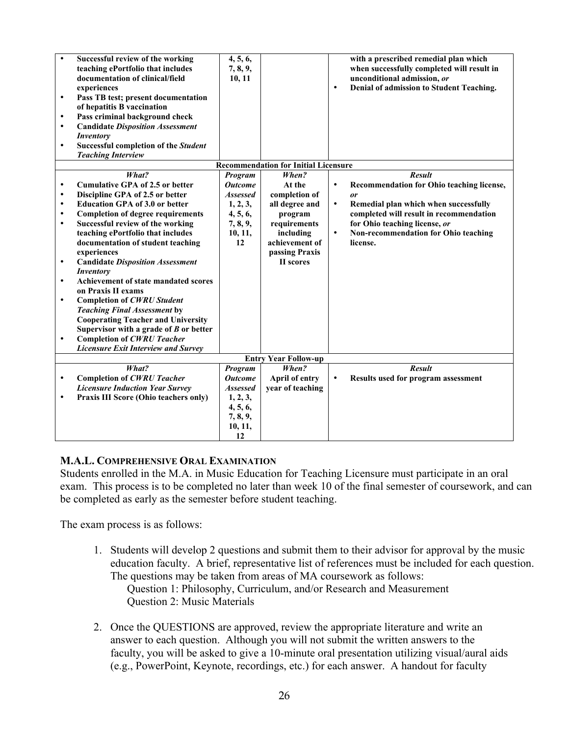| $\bullet$<br>$\bullet$<br>$\bullet$<br>$\bullet$<br>$\bullet$ | Successful review of the working<br>teaching ePortfolio that includes<br>documentation of clinical/field<br>experiences<br>Pass TB test; present documentation<br>of hepatitis B vaccination<br>Pass criminal background check<br><b>Candidate Disposition Assessment</b><br><b>Inventory</b><br><b>Successful completion of the Student</b><br><b>Teaching Interview</b> | 4, 5, 6,<br>7, 8, 9,<br>10, 11 |                                             | ٠         | with a prescribed remedial plan which<br>when successfully completed will result in<br>unconditional admission, or<br>Denial of admission to Student Teaching. |
|---------------------------------------------------------------|---------------------------------------------------------------------------------------------------------------------------------------------------------------------------------------------------------------------------------------------------------------------------------------------------------------------------------------------------------------------------|--------------------------------|---------------------------------------------|-----------|----------------------------------------------------------------------------------------------------------------------------------------------------------------|
|                                                               |                                                                                                                                                                                                                                                                                                                                                                           |                                | <b>Recommendation for Initial Licensure</b> |           |                                                                                                                                                                |
|                                                               | What?                                                                                                                                                                                                                                                                                                                                                                     | Program                        | When?                                       |           | <b>Result</b>                                                                                                                                                  |
| $\bullet$                                                     | <b>Cumulative GPA of 2.5 or better</b>                                                                                                                                                                                                                                                                                                                                    | <b>Outcome</b>                 | At the                                      | $\bullet$ | Recommendation for Ohio teaching license,                                                                                                                      |
| $\bullet$<br>$\bullet$                                        | Discipline GPA of 2.5 or better                                                                                                                                                                                                                                                                                                                                           | <b>Assessed</b>                | completion of                               | $\bullet$ | <b>or</b>                                                                                                                                                      |
| $\bullet$                                                     | <b>Education GPA of 3.0 or better</b><br><b>Completion of degree requirements</b>                                                                                                                                                                                                                                                                                         | 1, 2, 3,<br>4, 5, 6,           | all degree and<br>program                   |           | Remedial plan which when successfully<br>completed will result in recommendation                                                                               |
| $\bullet$                                                     | Successful review of the working                                                                                                                                                                                                                                                                                                                                          | 7, 8, 9,                       | requirements                                |           | for Ohio teaching license, or                                                                                                                                  |
|                                                               | teaching ePortfolio that includes                                                                                                                                                                                                                                                                                                                                         | 10, 11,                        | including                                   | $\bullet$ | Non-recommendation for Ohio teaching                                                                                                                           |
|                                                               | documentation of student teaching                                                                                                                                                                                                                                                                                                                                         | 12                             | achievement of                              |           | license.                                                                                                                                                       |
|                                                               | experiences                                                                                                                                                                                                                                                                                                                                                               |                                | passing Praxis                              |           |                                                                                                                                                                |
| $\bullet$                                                     | <b>Candidate Disposition Assessment</b>                                                                                                                                                                                                                                                                                                                                   |                                | II scores                                   |           |                                                                                                                                                                |
|                                                               | <b>Inventory</b>                                                                                                                                                                                                                                                                                                                                                          |                                |                                             |           |                                                                                                                                                                |
| $\bullet$                                                     | Achievement of state mandated scores                                                                                                                                                                                                                                                                                                                                      |                                |                                             |           |                                                                                                                                                                |
|                                                               | on Praxis II exams                                                                                                                                                                                                                                                                                                                                                        |                                |                                             |           |                                                                                                                                                                |
| $\bullet$                                                     | <b>Completion of CWRU Student</b>                                                                                                                                                                                                                                                                                                                                         |                                |                                             |           |                                                                                                                                                                |
|                                                               | <b>Teaching Final Assessment by</b><br><b>Cooperating Teacher and University</b>                                                                                                                                                                                                                                                                                          |                                |                                             |           |                                                                                                                                                                |
|                                                               | Supervisor with a grade of $B$ or better                                                                                                                                                                                                                                                                                                                                  |                                |                                             |           |                                                                                                                                                                |
| $\bullet$                                                     | <b>Completion of CWRU Teacher</b>                                                                                                                                                                                                                                                                                                                                         |                                |                                             |           |                                                                                                                                                                |
|                                                               | <b>Licensure Exit Interview and Survey</b>                                                                                                                                                                                                                                                                                                                                |                                |                                             |           |                                                                                                                                                                |
|                                                               |                                                                                                                                                                                                                                                                                                                                                                           |                                | <b>Entry Year Follow-up</b>                 |           |                                                                                                                                                                |
|                                                               | What?                                                                                                                                                                                                                                                                                                                                                                     | Program                        | When?                                       |           | <b>Result</b>                                                                                                                                                  |
| $\bullet$                                                     | <b>Completion of CWRU Teacher</b>                                                                                                                                                                                                                                                                                                                                         | <b>Outcome</b>                 | April of entry                              | $\bullet$ | Results used for program assessment                                                                                                                            |
|                                                               | <b>Licensure Induction Year Survey</b>                                                                                                                                                                                                                                                                                                                                    | <b>Assessed</b>                | year of teaching                            |           |                                                                                                                                                                |
| $\bullet$                                                     | Praxis III Score (Ohio teachers only)                                                                                                                                                                                                                                                                                                                                     | 1, 2, 3,                       |                                             |           |                                                                                                                                                                |
|                                                               |                                                                                                                                                                                                                                                                                                                                                                           | 4, 5, 6,                       |                                             |           |                                                                                                                                                                |
|                                                               |                                                                                                                                                                                                                                                                                                                                                                           | 7, 8, 9,                       |                                             |           |                                                                                                                                                                |
|                                                               |                                                                                                                                                                                                                                                                                                                                                                           | 10, 11,                        |                                             |           |                                                                                                                                                                |
|                                                               |                                                                                                                                                                                                                                                                                                                                                                           | 12                             |                                             |           |                                                                                                                                                                |

# **M.A.L. COMPREHENSIVE ORAL EXAMINATION**

Students enrolled in the M.A. in Music Education for Teaching Licensure must participate in an oral exam. This process is to be completed no later than week 10 of the final semester of coursework, and can be completed as early as the semester before student teaching.

The exam process is as follows:

- 1. Students will develop 2 questions and submit them to their advisor for approval by the music education faculty. A brief, representative list of references must be included for each question. The questions may be taken from areas of MA coursework as follows: Question 1: Philosophy, Curriculum, and/or Research and Measurement Question 2: Music Materials
- 2. Once the QUESTIONS are approved, review the appropriate literature and write an answer to each question. Although you will not submit the written answers to the faculty, you will be asked to give a 10-minute oral presentation utilizing visual/aural aids (e.g., PowerPoint, Keynote, recordings, etc.) for each answer. A handout for faculty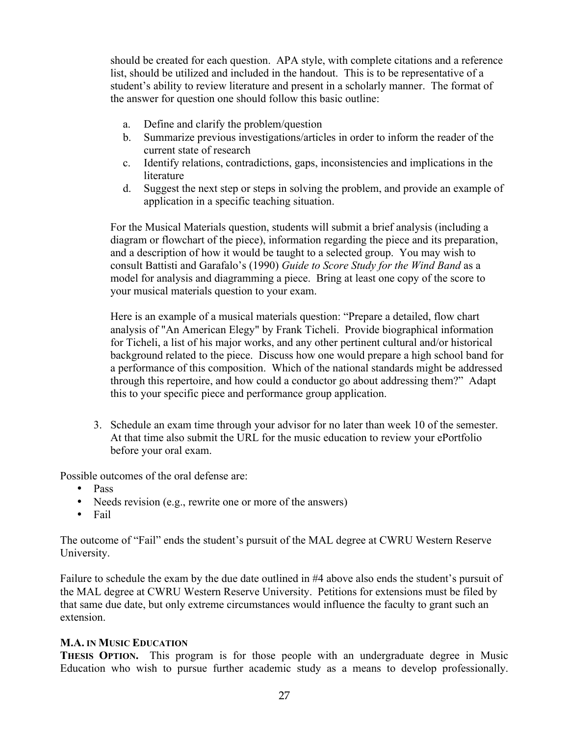should be created for each question. APA style, with complete citations and a reference list, should be utilized and included in the handout. This is to be representative of a student's ability to review literature and present in a scholarly manner. The format of the answer for question one should follow this basic outline:

- a. Define and clarify the problem/question
- b. Summarize previous investigations/articles in order to inform the reader of the current state of research
- c. Identify relations, contradictions, gaps, inconsistencies and implications in the literature
- d. Suggest the next step or steps in solving the problem, and provide an example of application in a specific teaching situation.

For the Musical Materials question, students will submit a brief analysis (including a diagram or flowchart of the piece), information regarding the piece and its preparation, and a description of how it would be taught to a selected group. You may wish to consult Battisti and Garafalo's (1990) *Guide to Score Study for the Wind Band* as a model for analysis and diagramming a piece. Bring at least one copy of the score to your musical materials question to your exam.

Here is an example of a musical materials question: "Prepare a detailed, flow chart analysis of "An American Elegy" by Frank Ticheli. Provide biographical information for Ticheli, a list of his major works, and any other pertinent cultural and/or historical background related to the piece. Discuss how one would prepare a high school band for a performance of this composition. Which of the national standards might be addressed through this repertoire, and how could a conductor go about addressing them?" Adapt this to your specific piece and performance group application.

3. Schedule an exam time through your advisor for no later than week 10 of the semester. At that time also submit the URL for the music education to review your ePortfolio before your oral exam.

Possible outcomes of the oral defense are:

- Pass
- Needs revision (e.g., rewrite one or more of the answers)
- Fail

The outcome of "Fail" ends the student's pursuit of the MAL degree at CWRU Western Reserve University.

Failure to schedule the exam by the due date outlined in #4 above also ends the student's pursuit of the MAL degree at CWRU Western Reserve University. Petitions for extensions must be filed by that same due date, but only extreme circumstances would influence the faculty to grant such an extension.

# **M.A. IN MUSIC EDUCATION**

**THESIS OPTION.** This program is for those people with an undergraduate degree in Music Education who wish to pursue further academic study as a means to develop professionally.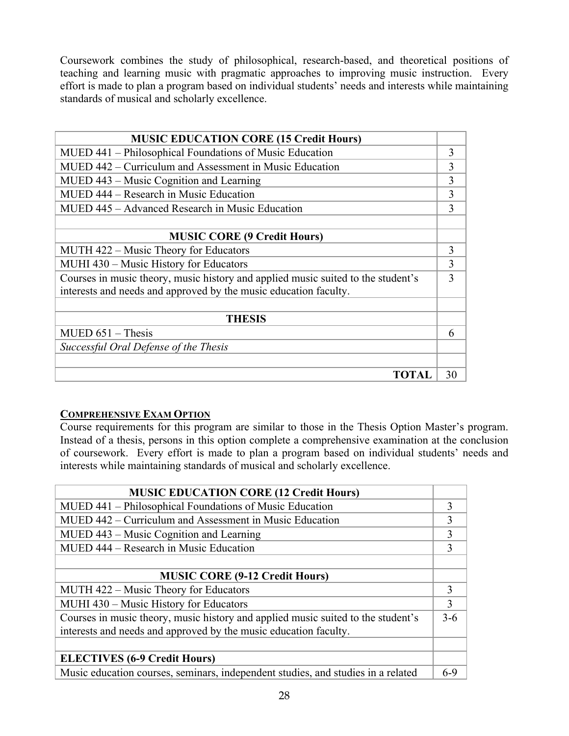Coursework combines the study of philosophical, research-based, and theoretical positions of teaching and learning music with pragmatic approaches to improving music instruction. Every effort is made to plan a program based on individual students' needs and interests while maintaining standards of musical and scholarly excellence.

| <b>MUSIC EDUCATION CORE (15 Credit Hours)</b>                                    |    |
|----------------------------------------------------------------------------------|----|
| MUED 441 – Philosophical Foundations of Music Education                          | 3  |
| MUED 442 – Curriculum and Assessment in Music Education                          | 3  |
| MUED 443 – Music Cognition and Learning                                          | 3  |
| MUED 444 – Research in Music Education                                           | 3  |
| MUED 445 – Advanced Research in Music Education                                  | 3  |
|                                                                                  |    |
| <b>MUSIC CORE (9 Credit Hours)</b>                                               |    |
| MUTH 422 – Music Theory for Educators                                            | 3  |
| MUHI 430 – Music History for Educators                                           | 3  |
| Courses in music theory, music history and applied music suited to the student's | 3  |
| interests and needs and approved by the music education faculty.                 |    |
|                                                                                  |    |
| <b>THESIS</b>                                                                    |    |
| $MUED 651 - Thesis$                                                              | 6  |
| Successful Oral Defense of the Thesis                                            |    |
|                                                                                  |    |
| TOTAl                                                                            | 30 |

# **COMPREHENSIVE EXAM OPTION**

Course requirements for this program are similar to those in the Thesis Option Master's program. Instead of a thesis, persons in this option complete a comprehensive examination at the conclusion of coursework. Every effort is made to plan a program based on individual students' needs and interests while maintaining standards of musical and scholarly excellence.

| <b>MUSIC EDUCATION CORE (12 Credit Hours)</b>                                    |              |
|----------------------------------------------------------------------------------|--------------|
| MUED 441 – Philosophical Foundations of Music Education                          | 3            |
| MUED 442 – Curriculum and Assessment in Music Education                          | 3            |
| MUED 443 – Music Cognition and Learning                                          | $\mathbf{3}$ |
| MUED 444 – Research in Music Education                                           | $\mathbf{3}$ |
|                                                                                  |              |
| <b>MUSIC CORE (9-12 Credit Hours)</b>                                            |              |
| MUTH 422 – Music Theory for Educators                                            | 3            |
| MUHI 430 – Music History for Educators                                           | 3            |
| Courses in music theory, music history and applied music suited to the student's | $3-6$        |
| interests and needs and approved by the music education faculty.                 |              |
|                                                                                  |              |
| <b>ELECTIVES (6-9 Credit Hours)</b>                                              |              |
| Music education courses, seminars, independent studies, and studies in a related | 6-9          |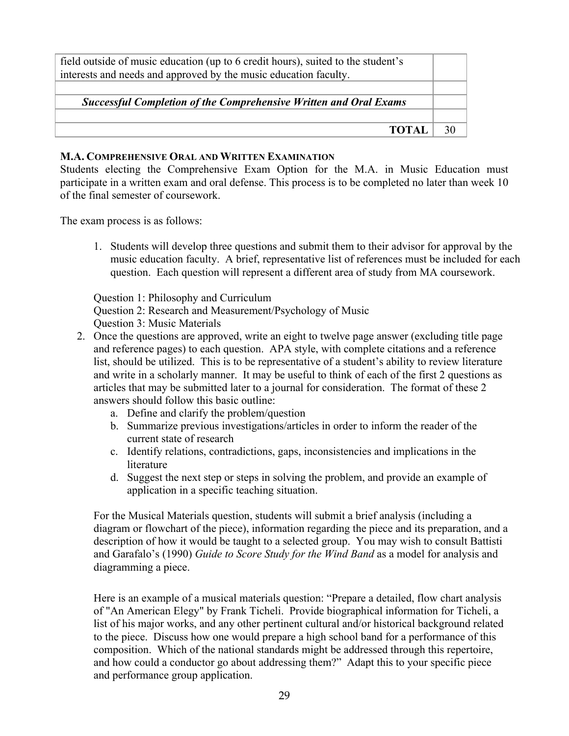| field outside of music education (up to 6 credit hours), suited to the student's<br>interests and needs and approved by the music education faculty. |  |
|------------------------------------------------------------------------------------------------------------------------------------------------------|--|
| <b>Successful Completion of the Comprehensive Written and Oral Exams</b>                                                                             |  |
|                                                                                                                                                      |  |
| <b>TOTAL</b>                                                                                                                                         |  |

### **M.A. COMPREHENSIVE ORAL AND WRITTEN EXAMINATION**

Students electing the Comprehensive Exam Option for the M.A. in Music Education must participate in a written exam and oral defense. This process is to be completed no later than week 10 of the final semester of coursework.

The exam process is as follows:

1. Students will develop three questions and submit them to their advisor for approval by the music education faculty. A brief, representative list of references must be included for each question. Each question will represent a different area of study from MA coursework.

Question 1: Philosophy and Curriculum Question 2: Research and Measurement/Psychology of Music Question 3: Music Materials

- 2. Once the questions are approved, write an eight to twelve page answer (excluding title page and reference pages) to each question. APA style, with complete citations and a reference list, should be utilized. This is to be representative of a student's ability to review literature and write in a scholarly manner. It may be useful to think of each of the first 2 questions as articles that may be submitted later to a journal for consideration. The format of these 2 answers should follow this basic outline:
	- a. Define and clarify the problem/question
	- b. Summarize previous investigations/articles in order to inform the reader of the current state of research
	- c. Identify relations, contradictions, gaps, inconsistencies and implications in the literature
	- d. Suggest the next step or steps in solving the problem, and provide an example of application in a specific teaching situation.

For the Musical Materials question, students will submit a brief analysis (including a diagram or flowchart of the piece), information regarding the piece and its preparation, and a description of how it would be taught to a selected group. You may wish to consult Battisti and Garafalo's (1990) *Guide to Score Study for the Wind Band* as a model for analysis and diagramming a piece.

Here is an example of a musical materials question: "Prepare a detailed, flow chart analysis of "An American Elegy" by Frank Ticheli. Provide biographical information for Ticheli, a list of his major works, and any other pertinent cultural and/or historical background related to the piece. Discuss how one would prepare a high school band for a performance of this composition. Which of the national standards might be addressed through this repertoire, and how could a conductor go about addressing them?" Adapt this to your specific piece and performance group application.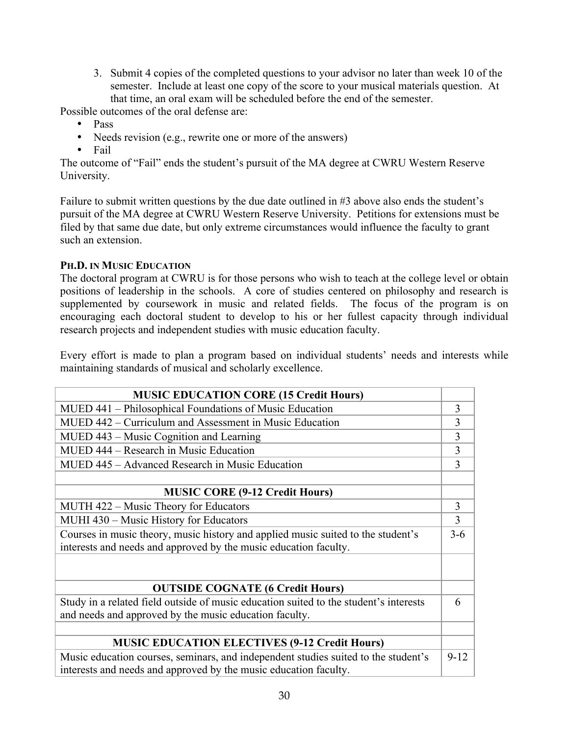3. Submit 4 copies of the completed questions to your advisor no later than week 10 of the semester. Include at least one copy of the score to your musical materials question. At that time, an oral exam will be scheduled before the end of the semester.

Possible outcomes of the oral defense are:

- Pass
- Needs revision (e.g., rewrite one or more of the answers)
- Fail

The outcome of "Fail" ends the student's pursuit of the MA degree at CWRU Western Reserve University.

Failure to submit written questions by the due date outlined in #3 above also ends the student's pursuit of the MA degree at CWRU Western Reserve University. Petitions for extensions must be filed by that same due date, but only extreme circumstances would influence the faculty to grant such an extension.

# **PH.D. IN MUSIC EDUCATION**

The doctoral program at CWRU is for those persons who wish to teach at the college level or obtain positions of leadership in the schools. A core of studies centered on philosophy and research is supplemented by coursework in music and related fields. The focus of the program is on encouraging each doctoral student to develop to his or her fullest capacity through individual research projects and independent studies with music education faculty.

Every effort is made to plan a program based on individual students' needs and interests while maintaining standards of musical and scholarly excellence.

| <b>MUSIC EDUCATION CORE (15 Credit Hours)</b>                                         |                |
|---------------------------------------------------------------------------------------|----------------|
| MUED 441 – Philosophical Foundations of Music Education                               | 3              |
| MUED 442 – Curriculum and Assessment in Music Education                               | 3              |
| MUED 443 – Music Cognition and Learning                                               | 3              |
| MUED 444 – Research in Music Education                                                | 3              |
| MUED 445 – Advanced Research in Music Education                                       | 3              |
|                                                                                       |                |
| <b>MUSIC CORE (9-12 Credit Hours)</b>                                                 |                |
| MUTH 422 – Music Theory for Educators                                                 | 3              |
| MUHI 430 – Music History for Educators                                                | $\overline{3}$ |
| Courses in music theory, music history and applied music suited to the student's      | $3 - 6$        |
| interests and needs and approved by the music education faculty.                      |                |
|                                                                                       |                |
|                                                                                       |                |
| <b>OUTSIDE COGNATE (6 Credit Hours)</b>                                               |                |
| Study in a related field outside of music education suited to the student's interests | 6              |
| and needs and approved by the music education faculty.                                |                |
|                                                                                       |                |
| <b>MUSIC EDUCATION ELECTIVES (9-12 Credit Hours)</b>                                  |                |
| Music education courses, seminars, and independent studies suited to the student's    | $9 - 12$       |
| interests and needs and approved by the music education faculty.                      |                |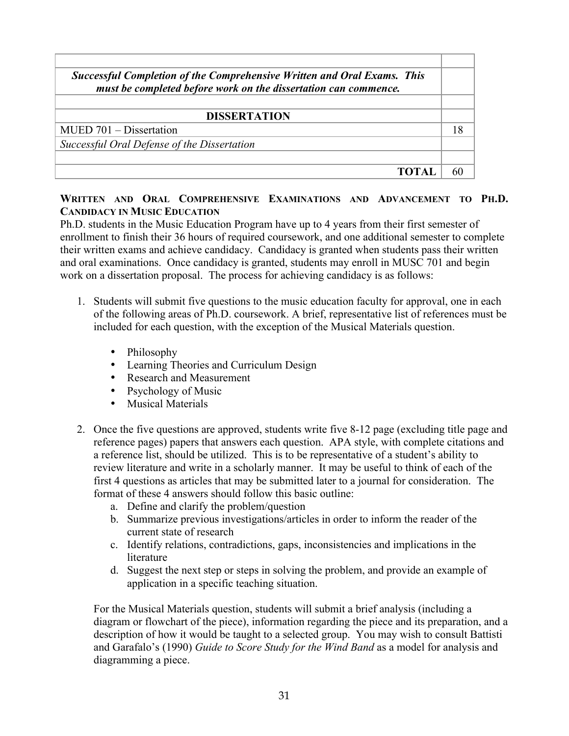| <b>Successful Completion of the Comprehensive Written and Oral Exams. This</b><br>must be completed before work on the dissertation can commence. |  |
|---------------------------------------------------------------------------------------------------------------------------------------------------|--|
|                                                                                                                                                   |  |
| <b>DISSERTATION</b>                                                                                                                               |  |
| MUED 701 – Dissertation                                                                                                                           |  |
| Successful Oral Defense of the Dissertation                                                                                                       |  |
|                                                                                                                                                   |  |
|                                                                                                                                                   |  |

# **WRITTEN AND ORAL COMPREHENSIVE EXAMINATIONS AND ADVANCEMENT TO PH.D. CANDIDACY IN MUSIC EDUCATION**

Ph.D. students in the Music Education Program have up to 4 years from their first semester of enrollment to finish their 36 hours of required coursework, and one additional semester to complete their written exams and achieve candidacy. Candidacy is granted when students pass their written and oral examinations. Once candidacy is granted, students may enroll in MUSC 701 and begin work on a dissertation proposal. The process for achieving candidacy is as follows:

- 1. Students will submit five questions to the music education faculty for approval, one in each of the following areas of Ph.D. coursework. A brief, representative list of references must be included for each question, with the exception of the Musical Materials question.
	- Philosophy
	- Learning Theories and Curriculum Design
	- Research and Measurement
	- Psychology of Music
	- Musical Materials
- 2. Once the five questions are approved, students write five 8-12 page (excluding title page and reference pages) papers that answers each question. APA style, with complete citations and a reference list, should be utilized. This is to be representative of a student's ability to review literature and write in a scholarly manner. It may be useful to think of each of the first 4 questions as articles that may be submitted later to a journal for consideration. The format of these 4 answers should follow this basic outline:
	- a. Define and clarify the problem/question
	- b. Summarize previous investigations/articles in order to inform the reader of the current state of research
	- c. Identify relations, contradictions, gaps, inconsistencies and implications in the literature
	- d. Suggest the next step or steps in solving the problem, and provide an example of application in a specific teaching situation.

For the Musical Materials question, students will submit a brief analysis (including a diagram or flowchart of the piece), information regarding the piece and its preparation, and a description of how it would be taught to a selected group. You may wish to consult Battisti and Garafalo's (1990) *Guide to Score Study for the Wind Band* as a model for analysis and diagramming a piece.